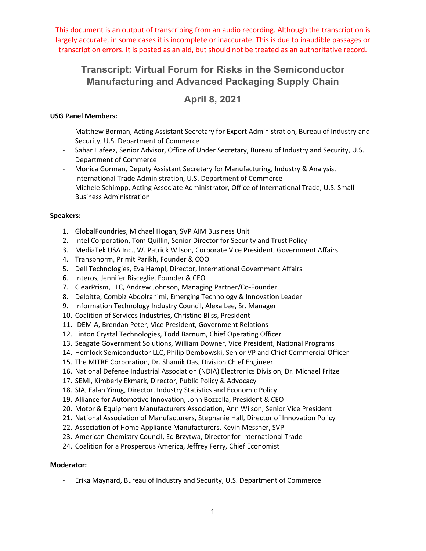# **Transcript: Virtual Forum for Risks in the Semiconductor Manufacturing and Advanced Packaging Supply Chain**

# **April 8, 2021**

# **USG Panel Members:**

- ‐ Matthew Borman, Acting Assistant Secretary for Export Administration, Bureau of Industry and Security, U.S. Department of Commerce
- ‐ Sahar Hafeez, Senior Advisor, Office of Under Secretary, Bureau of Industry and Security, U.S. Department of Commerce
- ‐ Monica Gorman, Deputy Assistant Secretary for Manufacturing, Industry & Analysis, International Trade Administration, U.S. Department of Commerce
- ‐ Michele Schimpp, Acting Associate Administrator, Office of International Trade, U.S. Small Business Administration

#### **Speakers:**

- 1. GlobalFoundries, Michael Hogan, SVP AIM Business Unit
- 2. Intel Corporation, Tom Quillin, Senior Director for Security and Trust Policy
- 3. MediaTek USA Inc., W. Patrick Wilson, Corporate Vice President, Government Affairs
- 4. Transphorm, Primit Parikh, Founder & COO
- 5. Dell Technologies, Eva Hampl, Director, International Government Affairs
- 6. Interos, Jennifer Bisceglie, Founder & CEO
- 7. ClearPrism, LLC, Andrew Johnson, Managing Partner/Co‐Founder
- 8. Deloitte, Combiz Abdolrahimi, Emerging Technology & Innovation Leader
- 9. Information Technology Industry Council, Alexa Lee, Sr. Manager
- 10. Coalition of Services Industries, Christine Bliss, President
- 11. IDEMIA, Brendan Peter, Vice President, Government Relations
- 12. Linton Crystal Technologies, Todd Barnum, Chief Operating Officer
- 13. Seagate Government Solutions, William Downer, Vice President, National Programs
- 14. Hemlock Semiconductor LLC, Philip Dembowski, Senior VP and Chief Commercial Officer
- 15. The MITRE Corporation, Dr. Shamik Das, Division Chief Engineer
- 16. National Defense Industrial Association (NDIA) Electronics Division, Dr. Michael Fritze
- 17. SEMI, Kimberly Ekmark, Director, Public Policy & Advocacy
- 18. SIA, Falan Yinug, Director, Industry Statistics and Economic Policy
- 19. Alliance for Automotive Innovation, John Bozzella, President & CEO
- 20. Motor & Equipment Manufacturers Association, Ann Wilson, Senior Vice President
- 21. National Association of Manufacturers, Stephanie Hall, Director of Innovation Policy
- 22. Association of Home Appliance Manufacturers, Kevin Messner, SVP
- 23. American Chemistry Council, Ed Brzytwa, Director for International Trade
- 24. Coalition for a Prosperous America, Jeffrey Ferry, Chief Economist

#### **Moderator:**

‐ Erika Maynard, Bureau of Industry and Security, U.S. Department of Commerce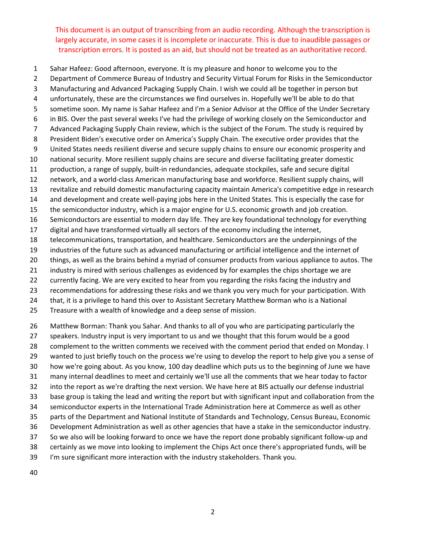Sahar Hafeez: Good afternoon, everyone. It is my pleasure and honor to welcome you to the

 Department of Commerce Bureau of Industry and Security Virtual Forum for Risks in the Semiconductor Manufacturing and Advanced Packaging Supply Chain. I wish we could all be together in person but unfortunately, these are the circumstances we find ourselves in. Hopefully we'll be able to do that

- sometime soon. My name is Sahar Hafeez and I'm a Senior Advisor at the Office of the Under Secretary
- in BIS. Over the past several weeks I've had the privilege of working closely on the Semiconductor and
- Advanced Packaging Supply Chain review, which is the subject of the Forum. The study is required by
- President Biden's executive order on America's Supply Chain. The executive order provides that the
- United States needs resilient diverse and secure supply chains to ensure our economic prosperity and
- national security. More resilient supply chains are secure and diverse facilitating greater domestic
- 11 production, a range of supply, built-in redundancies, adequate stockpiles, safe and secure digital 12 network, and a world-class American manufacturing base and workforce. Resilient supply chains, will
- revitalize and rebuild domestic manufacturing capacity maintain America's competitive edge in research
- 14 and development and create well-paying jobs here in the United States. This is especially the case for
- the semiconductor industry, which is a major engine for U.S. economic growth and job creation.
- Semiconductors are essential to modern day life. They are key foundational technology for everything
- digital and have transformed virtually all sectors of the economy including the internet,
- telecommunications, transportation, and healthcare. Semiconductors are the underpinnings of the
- industries of the future such as advanced manufacturing or artificial intelligence and the internet of
- things, as well as the brains behind a myriad of consumer products from various appliance to autos. The
- industry is mired with serious challenges as evidenced by for examples the chips shortage we are
- currently facing. We are very excited to hear from you regarding the risks facing the industry and
- recommendations for addressing these risks and we thank you very much for your participation. With
- that, it is a privilege to hand this over to Assistant Secretary Matthew Borman who is a National
- Treasure with a wealth of knowledge and a deep sense of mission.

 Matthew Borman: Thank you Sahar. And thanks to all of you who are participating particularly the speakers. Industry input is very important to us and we thought that this forum would be a good complement to the written comments we received with the comment period that ended on Monday. I wanted to just briefly touch on the process we're using to develop the report to help give you a sense of how we're going about. As you know, 100 day deadline which puts us to the beginning of June we have many internal deadlines to meet and certainly we'll use all the comments that we hear today to factor into the report as we're drafting the next version. We have here at BIS actually our defense industrial base group is taking the lead and writing the report but with significant input and collaboration from the semiconductor experts in the International Trade Administration here at Commerce as well as other parts of the Department and National Institute of Standards and Technology, Census Bureau, Economic Development Administration as well as other agencies that have a stake in the semiconductor industry. So we also will be looking forward to once we have the report done probably significant follow‐up and certainly as we move into looking to implement the Chips Act once there's appropriated funds, will be

I'm sure significant more interaction with the industry stakeholders. Thank you.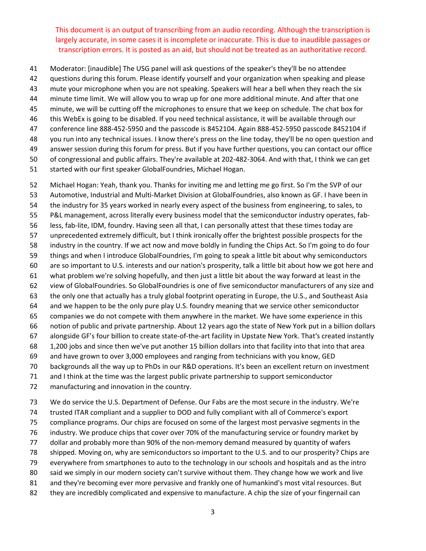- Moderator: [inaudible] The USG panel will ask questions of the speaker's they'll be no attendee
- questions during this forum. Please identify yourself and your organization when speaking and please
- mute your microphone when you are not speaking. Speakers will hear a bell when they reach the six
- minute time limit. We will allow you to wrap up for one more additional minute. And after that one
- minute, we will be cutting off the microphones to ensure that we keep on schedule. The chat box for
- this WebEx is going to be disabled. If you need technical assistance, it will be available through our
- conference line 888‐452‐5950 and the passcode is 8452104. Again 888‐452‐5950 passcode 8452104 if
- you run into any technical issues. I know there's press on the line today, they'll be no open question and
- answer session during this forum for press. But if you have further questions, you can contact our office
- 50 of congressional and public affairs. They're available at 202-482-3064. And with that, I think we can get
- started with our first speaker GlobalFoundries, Michael Hogan.

 Michael Hogan: Yeah, thank you. Thanks for inviting me and letting me go first. So I'm the SVP of our Automotive, Industrial and Multi‐Market Division at GlobalFoundries, also known as GF. I have been in the industry for 35 years worked in nearly every aspect of the business from engineering, to sales, to 55 P&L management, across literally every business model that the semiconductor industry operates, fab-56 less, fab-lite, IDM, foundry. Having seen all that, I can personally attest that these times today are unprecedented extremely difficult, but I think ironically offer the brightest possible prospects for the industry in the country. If we act now and move boldly in funding the Chips Act. So I'm going to do four things and when I introduce GlobalFoundries, I'm going to speak a little bit about why semiconductors are so important to U.S. interests and our nation's prosperity, talk a little bit about how we got here and what problem we're solving hopefully, and then just a little bit about the way forward at least in the view of GlobalFoundries. So GlobalFoundries is one of five semiconductor manufacturers of any size and the only one that actually has a truly global footprint operating in Europe, the U.S., and Southeast Asia and we happen to be the only pure play U.S. foundry meaning that we service other semiconductor companies we do not compete with them anywhere in the market. We have some experience in this notion of public and private partnership. About 12 years ago the state of New York put in a billion dollars alongside GF's four billion to create state‐of‐the‐art facility in Upstate New York. That's created instantly 1,200 jobs and since then we've put another 15 billion dollars into that facility into that into that area and have grown to over 3,000 employees and ranging from technicians with you know, GED backgrounds all the way up to PhDs in our R&D operations. It's been an excellent return on investment and I think at the time was the largest public private partnership to support semiconductor

- manufacturing and innovation in the country.
- We do service the U.S. Department of Defense. Our Fabs are the most secure in the industry. We're

trusted ITAR compliant and a supplier to DOD and fully compliant with all of Commerce's export

- compliance programs. Our chips are focused on some of the largest most pervasive segments in the
- industry. We produce chips that cover over 70% of the manufacturing service or foundry market by
- 77 dollar and probably more than 90% of the non-memory demand measured by quantity of wafers
- shipped. Moving on, why are semiconductors so important to the U.S. and to our prosperity? Chips are
- everywhere from smartphones to auto to the technology in our schools and hospitals and as the intro
- 80 said we simply in our modern society can't survive without them. They change how we work and live
- and they're becoming ever more pervasive and frankly one of humankind's most vital resources. But
- 82 they are incredibly complicated and expensive to manufacture. A chip the size of your fingernail can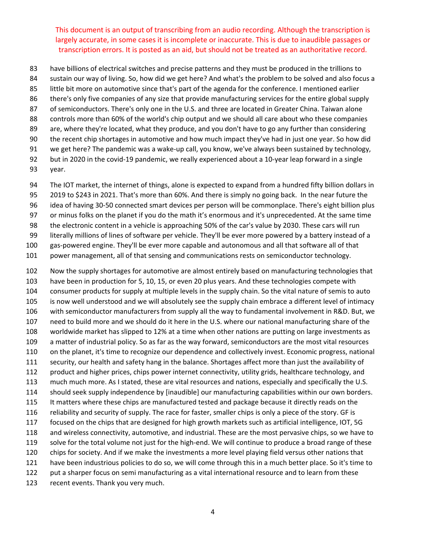- have billions of electrical switches and precise patterns and they must be produced in the trillions to
- sustain our way of living. So, how did we get here? And what's the problem to be solved and also focus a
- little bit more on automotive since that's part of the agenda for the conference. I mentioned earlier
- there's only five companies of any size that provide manufacturing services for the entire global supply
- 87 of semiconductors. There's only one in the U.S. and three are located in Greater China. Taiwan alone
- controls more than 60% of the world's chip output and we should all care about who these companies
- are, where they're located, what they produce, and you don't have to go any further than considering the recent chip shortages in automotive and how much impact they've had in just one year. So how did
- 91 we get here? The pandemic was a wake-up call, you know, we've always been sustained by technology,
- 92 but in 2020 in the covid-19 pandemic, we really experienced about a 10-year leap forward in a single year.
- The IOT market, the internet of things, alone is expected to expand from a hundred fifty billion dollars in
- 2019 to \$243 in 2021. That's more than 60%. And there is simply no going back. In the near future the
- 96 idea of having 30-50 connected smart devices per person will be commonplace. There's eight billion plus
- or minus folks on the planet if you do the math it's enormous and it's unprecedented. At the same time
- the electronic content in a vehicle is approaching 50% of the car's value by 2030. These cars will run
- literally millions of lines of software per vehicle. They'll be ever more powered by a battery instead of a
- gas‐powered engine. They'll be ever more capable and autonomous and all that software all of that
- power management, all of that sensing and communications rests on semiconductor technology.

 Now the supply shortages for automotive are almost entirely based on manufacturing technologies that have been in production for 5, 10, 15, or even 20 plus years. And these technologies compete with consumer products for supply at multiple levels in the supply chain. So the vital nature of semis to auto is now well understood and we will absolutely see the supply chain embrace a different level of intimacy with semiconductor manufacturers from supply all the way to fundamental involvement in R&D. But, we need to build more and we should do it here in the U.S. where our national manufacturing share of the worldwide market has slipped to 12% at a time when other nations are putting on large investments as a matter of industrial policy. So as far as the way forward, semiconductors are the most vital resources on the planet, it's time to recognize our dependence and collectively invest. Economic progress, national security, our health and safety hang in the balance. Shortages affect more than just the availability of product and higher prices, chips power internet connectivity, utility grids, healthcare technology, and much much more. As I stated, these are vital resources and nations, especially and specifically the U.S. should seek supply independence by [inaudible] our manufacturing capabilities within our own borders. It matters where these chips are manufactured tested and package because it directly reads on the reliability and security of supply. The race for faster, smaller chips is only a piece of the story. GF is focused on the chips that are designed for high growth markets such as artificial intelligence, IOT, 5G and wireless connectivity, automotive, and industrial. These are the most pervasive chips, so we have to solve for the total volume not just for the high‐end. We will continue to produce a broad range of these chips for society. And if we make the investments a more level playing field versus other nations that have been industrious policies to do so, we will come through this in a much better place. So it's time to 122 put a sharper focus on semi manufacturing as a vital international resource and to learn from these recent events. Thank you very much.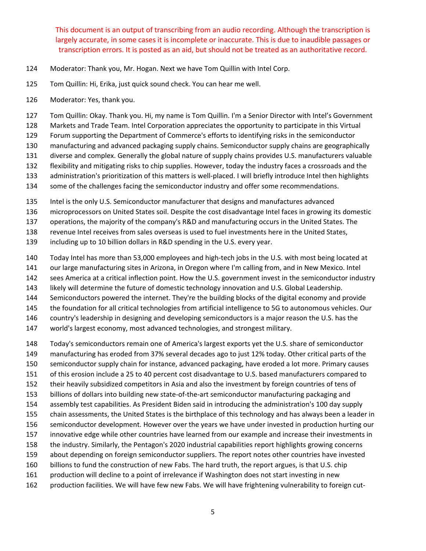- Moderator: Thank you, Mr. Hogan. Next we have Tom Quillin with Intel Corp.
- Tom Quillin: Hi, Erika, just quick sound check. You can hear me well.
- Moderator: Yes, thank you.

Tom Quillin: Okay. Thank you. Hi, my name is Tom Quillin. I'm a Senior Director with Intel's Government

Markets and Trade Team. Intel Corporation appreciates the opportunity to participate in this Virtual

Forum supporting the Department of Commerce's efforts to identifying risks in the semiconductor

manufacturing and advanced packaging supply chains. Semiconductor supply chains are geographically

diverse and complex. Generally the global nature of supply chains provides U.S. manufacturers valuable

flexibility and mitigating risks to chip supplies. However, today the industry faces a crossroads and the

- 133 administration's prioritization of this matters is well-placed. I will briefly introduce Intel then highlights 134 some of the challenges facing the semiconductor industry and offer some recommendations.
- Intel is the only U.S. Semiconductor manufacturer that designs and manufactures advanced
- microprocessors on United States soil. Despite the cost disadvantage Intel faces in growing its domestic

operations, the majority of the company's R&D and manufacturing occurs in the United States. The

revenue Intel receives from sales overseas is used to fuel investments here in the United States,

including up to 10 billion dollars in R&D spending in the U.S. every year.

- 140 Today Intel has more than 53,000 employees and high-tech jobs in the U.S. with most being located at
- our large manufacturing sites in Arizona, in Oregon where I'm calling from, and in New Mexico. Intel
- sees America at a critical inflection point. How the U.S. government invest in the semiconductor industry
- 143 likely will determine the future of domestic technology innovation and U.S. Global Leadership.
- Semiconductors powered the internet. They're the building blocks of the digital economy and provide
- the foundation for all critical technologies from artificial intelligence to 5G to autonomous vehicles. Our
- country's leadership in designing and developing semiconductors is a major reason the U.S. has the
- world's largest economy, most advanced technologies, and strongest military.
- Today's semiconductors remain one of America's largest exports yet the U.S. share of semiconductor
- manufacturing has eroded from 37% several decades ago to just 12% today. Other critical parts of the
- semiconductor supply chain for instance, advanced packaging, have eroded a lot more. Primary causes
- of this erosion include a 25 to 40 percent cost disadvantage to U.S. based manufacturers compared to
- their heavily subsidized competitors in Asia and also the investment by foreign countries of tens of
- billions of dollars into building new state‐of‐the‐art semiconductor manufacturing packaging and
- assembly test capabilities. As President Biden said in introducing the administration's 100 day supply
- chain assessments, the United States is the birthplace of this technology and has always been a leader in
- semiconductor development. However over the years we have under invested in production hurting our
- innovative edge while other countries have learned from our example and increase their investments in
- the industry. Similarly, the Pentagon's 2020 industrial capabilities report highlights growing concerns
- about depending on foreign semiconductor suppliers. The report notes other countries have invested
- billions to fund the construction of new Fabs. The hard truth, the report argues, is that U.S. chip
- production will decline to a point of irrelevance if Washington does not start investing in new
- production facilities. We will have few new Fabs. We will have frightening vulnerability to foreign cut‐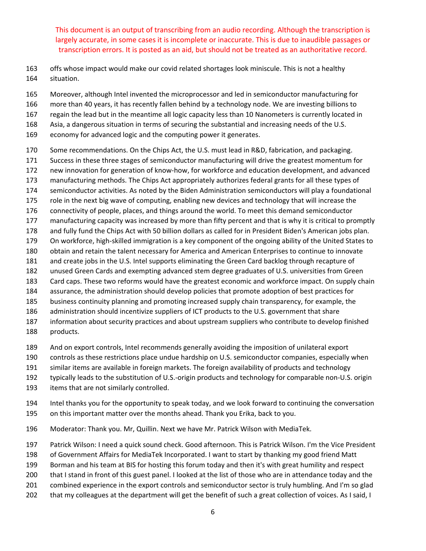- offs whose impact would make our covid related shortages look miniscule. This is not a healthy situation.
- Moreover, although Intel invented the microprocessor and led in semiconductor manufacturing for
- more than 40 years, it has recently fallen behind by a technology node. We are investing billions to
- regain the lead but in the meantime all logic capacity less than 10 Nanometers is currently located in
- Asia, a dangerous situation in terms of securing the substantial and increasing needs of the U.S.
- economy for advanced logic and the computing power it generates.
- Some recommendations. On the Chips Act, the U.S. must lead in R&D, fabrication, and packaging.
- Success in these three stages of semiconductor manufacturing will drive the greatest momentum for
- new innovation for generation of know‐how, for workforce and education development, and advanced
- manufacturing methods. The Chips Act appropriately authorizes federal grants for all these types of
- semiconductor activities. As noted by the Biden Administration semiconductors will play a foundational
- role in the next big wave of computing, enabling new devices and technology that will increase the
- connectivity of people, places, and things around the world. To meet this demand semiconductor
- manufacturing capacity was increased by more than fifty percent and that is why it is critical to promptly
- and fully fund the Chips Act with 50 billion dollars as called for in President Biden's American jobs plan.
- 179 On workforce, high-skilled immigration is a key component of the ongoing ability of the United States to
- obtain and retain the talent necessary for America and American Enterprises to continue to innovate
- and create jobs in the U.S. Intel supports eliminating the Green Card backlog through recapture of
- unused Green Cards and exempting advanced stem degree graduates of U.S. universities from Green
- Card caps. These two reforms would have the greatest economic and workforce impact. On supply chain
- assurance, the administration should develop policies that promote adoption of best practices for
- business continuity planning and promoting increased supply chain transparency, for example, the
- 186 administration should incentivize suppliers of ICT products to the U.S. government that share
- information about security practices and about upstream suppliers who contribute to develop finished products.
- And on export controls, Intel recommends generally avoiding the imposition of unilateral export
- controls as these restrictions place undue hardship on U.S. semiconductor companies, especially when
- similar items are available in foreign markets. The foreign availability of products and technology
- typically leads to the substitution of U.S.‐origin products and technology for comparable non‐U.S. origin
- items that are not similarly controlled.
- Intel thanks you for the opportunity to speak today, and we look forward to continuing the conversation on this important matter over the months ahead. Thank you Erika, back to you.
- Moderator: Thank you. Mr, Quillin. Next we have Mr. Patrick Wilson with MediaTek.
- Patrick Wilson: I need a quick sound check. Good afternoon. This is Patrick Wilson. I'm the Vice President
- of Government Affairs for MediaTek Incorporated. I want to start by thanking my good friend Matt
- Borman and his team at BIS for hosting this forum today and then it's with great humility and respect
- that I stand in front of this guest panel. I looked at the list of those who are in attendance today and the
- combined experience in the export controls and semiconductor sector is truly humbling. And I'm so glad
- that my colleagues at the department will get the benefit of such a great collection of voices. As I said, I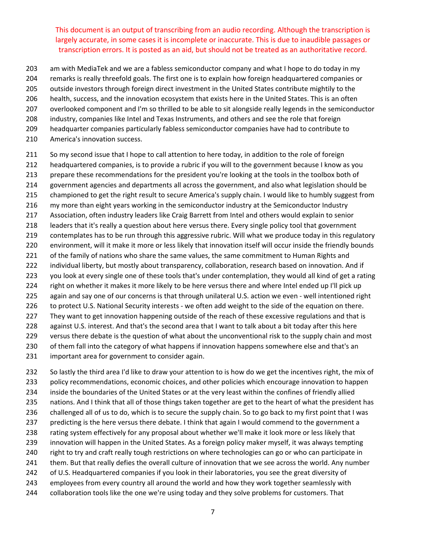am with MediaTek and we are a fabless semiconductor company and what I hope to do today in my remarks is really threefold goals. The first one is to explain how foreign headquartered companies or

outside investors through foreign direct investment in the United States contribute mightily to the

health, success, and the innovation ecosystem that exists here in the United States. This is an often

overlooked component and I'm so thrilled to be able to sit alongside really legends in the semiconductor

industry, companies like Intel and Texas Instruments, and others and see the role that foreign

- headquarter companies particularly fabless semiconductor companies have had to contribute to
- America's innovation success.

211 So my second issue that I hope to call attention to here today, in addition to the role of foreign headquartered companies, is to provide a rubric if you will to the government because I know as you prepare these recommendations for the president you're looking at the tools in the toolbox both of government agencies and departments all across the government, and also what legislation should be championed to get the right result to secure America's supply chain. I would like to humbly suggest from my more than eight years working in the semiconductor industry at the Semiconductor Industry Association, often industry leaders like Craig Barrett from Intel and others would explain to senior leaders that it's really a question about here versus there. Every single policy tool that government contemplates has to be run through this aggressive rubric. Will what we produce today in this regulatory environment, will it make it more or less likely that innovation itself will occur inside the friendly bounds 221 of the family of nations who share the same values, the same commitment to Human Rights and individual liberty, but mostly about transparency, collaboration, research based on innovation. And if 223 you look at every single one of these tools that's under contemplation, they would all kind of get a rating right on whether it makes it more likely to be here versus there and where Intel ended up I'll pick up 225 again and say one of our concerns is that through unilateral U.S. action we even - well intentioned right 226 to protect U.S. National Security interests - we often add weight to the side of the equation on there.

227 They want to get innovation happening outside of the reach of these excessive regulations and that is

against U.S. interest. And that's the second area that I want to talk about a bit today after this here

229 versus there debate is the question of what about the unconventional risk to the supply chain and most

- 230 of them fall into the category of what happens if innovation happens somewhere else and that's an
- important area for government to consider again.

232 So lastly the third area I'd like to draw your attention to is how do we get the incentives right, the mix of policy recommendations, economic choices, and other policies which encourage innovation to happen inside the boundaries of the United States or at the very least within the confines of friendly allied 235 nations. And I think that all of those things taken together are get to the heart of what the president has 236 challenged all of us to do, which is to secure the supply chain. So to go back to my first point that I was predicting is the here versus there debate. I think that again I would commend to the government a rating system effectively for any proposal about whether we'll make it look more or less likely that innovation will happen in the United States. As a foreign policy maker myself, it was always tempting right to try and craft really tough restrictions on where technologies can go or who can participate in them. But that really defies the overall culture of innovation that we see across the world. Any number of U.S. Headquartered companies if you look in their laboratories, you see the great diversity of employees from every country all around the world and how they work together seamlessly with 244 collaboration tools like the one we're using today and they solve problems for customers. That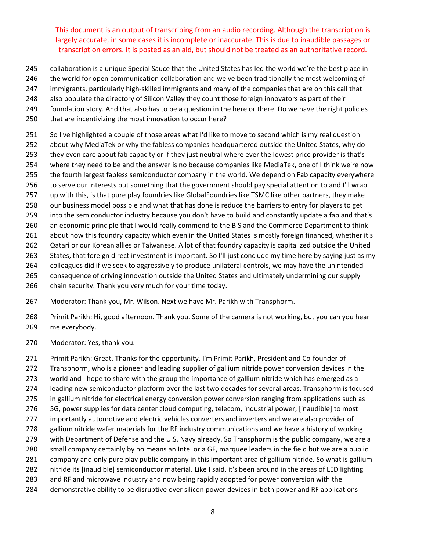- collaboration is a unique Special Sauce that the United States has led the world we're the best place in
- the world for open communication collaboration and we've been traditionally the most welcoming of
- 247 immigrants, particularly high-skilled immigrants and many of the companies that are on this call that
- also populate the directory of Silicon Valley they count those foreign innovators as part of their
- foundation story. And that also has to be a question in the here or there. Do we have the right policies
- that are incentivizing the most innovation to occur here?
- 251 So I've highlighted a couple of those areas what I'd like to move to second which is my real question
- about why MediaTek or why the fabless companies headquartered outside the United States, why do
- they even care about fab capacity or if they just neutral where ever the lowest price provider is that's
- where they need to be and the answer is no because companies like MediaTek, one of I think we're now
- the fourth largest fabless semiconductor company in the world. We depend on Fab capacity everywhere to serve our interests but something that the government should pay special attention to and I'll wrap
- up with this, is that pure play foundries like GlobalFoundries like TSMC like other partners, they make
- our business model possible and what that has done is reduce the barriers to entry for players to get
- into the semiconductor industry because you don't have to build and constantly update a fab and that's
- 260 an economic principle that I would really commend to the BIS and the Commerce Department to think
- about how this foundry capacity which even in the United States is mostly foreign financed, whether it's
- Qatari or our Korean allies or Taiwanese. A lot of that foundry capacity is capitalized outside the United
- States, that foreign direct investment is important. So I'll just conclude my time here by saying just as my
- colleagues did if we seek to aggressively to produce unilateral controls, we may have the unintended
- consequence of driving innovation outside the United States and ultimately undermining our supply
- chain security. Thank you very much for your time today.
- Moderator: Thank you, Mr. Wilson. Next we have Mr. Parikh with Transphorm.
- Primit Parikh: Hi, good afternoon. Thank you. Some of the camera is not working, but you can you hear me everybody.
- Moderator: Yes, thank you.
- 271 Primit Parikh: Great. Thanks for the opportunity. I'm Primit Parikh, President and Co-founder of Transphorm, who is a pioneer and leading supplier of gallium nitride power conversion devices in the 273 world and I hope to share with the group the importance of gallium nitride which has emerged as a leading new semiconductor platform over the last two decades for several areas. Transphorm is focused in gallium nitride for electrical energy conversion power conversion ranging from applications such as 5G, power supplies for data center cloud computing, telecom, industrial power, [inaudible] to most importantly automotive and electric vehicles converters and inverters and we are also provider of gallium nitride wafer materials for the RF industry communications and we have a history of working with Department of Defense and the U.S. Navy already. So Transphorm is the public company, we are a small company certainly by no means an Intel or a GF, marquee leaders in the field but we are a public company and only pure play public company in this important area of gallium nitride. So what is gallium nitride its [inaudible] semiconductor material. Like I said, it's been around in the areas of LED lighting and RF and microwave industry and now being rapidly adopted for power conversion with the demonstrative ability to be disruptive over silicon power devices in both power and RF applications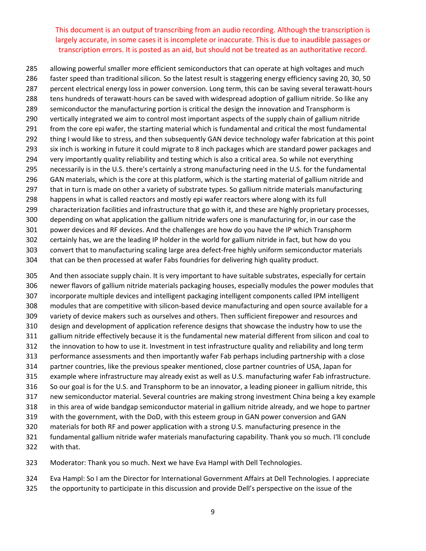allowing powerful smaller more efficient semiconductors that can operate at high voltages and much faster speed than traditional silicon. So the latest result is staggering energy efficiency saving 20, 30, 50 287 percent electrical energy loss in power conversion. Long term, this can be saving several terawatt-hours 288 tens hundreds of terawatt-hours can be saved with widespread adoption of gallium nitride. So like any semiconductor the manufacturing portion is critical the design the innovation and Transphorm is vertically integrated we aim to control most important aspects of the supply chain of gallium nitride from the core epi wafer, the starting material which is fundamental and critical the most fundamental thing I would like to stress, and then subsequently GAN device technology wafer fabrication at this point six inch is working in future it could migrate to 8 inch packages which are standard power packages and very importantly quality reliability and testing which is also a critical area. So while not everything necessarily is in the U.S. there's certainly a strong manufacturing need in the U.S. for the fundamental GAN materials, which is the core at this platform, which is the starting material of gallium nitride and that in turn is made on other a variety of substrate types. So gallium nitride materials manufacturing happens in what is called reactors and mostly epi wafer reactors where along with its full characterization facilities and infrastructure that go with it, and these are highly proprietary processes, depending on what application the gallium nitride wafers one is manufacturing for, in our case the power devices and RF devices. And the challenges are how do you have the IP which Transphorm certainly has, we are the leading IP holder in the world for gallium nitride in fact, but how do you 303 convert that to manufacturing scaling large area defect-free highly uniform semiconductor materials that can be then processed at wafer Fabs foundries for delivering high quality product.

 And then associate supply chain. It is very important to have suitable substrates, especially for certain newer flavors of gallium nitride materials packaging houses, especially modules the power modules that incorporate multiple devices and intelligent packaging intelligent components called IPM intelligent 308 modules that are competitive with silicon-based device manufacturing and open source available for a variety of device makers such as ourselves and others. Then sufficient firepower and resources and design and development of application reference designs that showcase the industry how to use the gallium nitride effectively because it is the fundamental new material different from silicon and coal to the innovation to how to use it. Investment in test infrastructure quality and reliability and long term performance assessments and then importantly wafer Fab perhaps including partnership with a close partner countries, like the previous speaker mentioned, close partner countries of USA, Japan for example where infrastructure may already exist as well as U.S. manufacturing wafer Fab infrastructure. So our goal is for the U.S. and Transphorm to be an innovator, a leading pioneer in gallium nitride, this new semiconductor material. Several countries are making strong investment China being a key example in this area of wide bandgap semiconductor material in gallium nitride already, and we hope to partner with the government, with the DoD, with this esteem group in GAN power conversion and GAN materials for both RF and power application with a strong U.S. manufacturing presence in the fundamental gallium nitride wafer materials manufacturing capability. Thank you so much. I'll conclude

with that.

Moderator: Thank you so much. Next we have Eva Hampl with Dell Technologies.

Eva Hampl: So I am the Director for International Government Affairs at Dell Technologies. I appreciate

the opportunity to participate in this discussion and provide Dell's perspective on the issue of the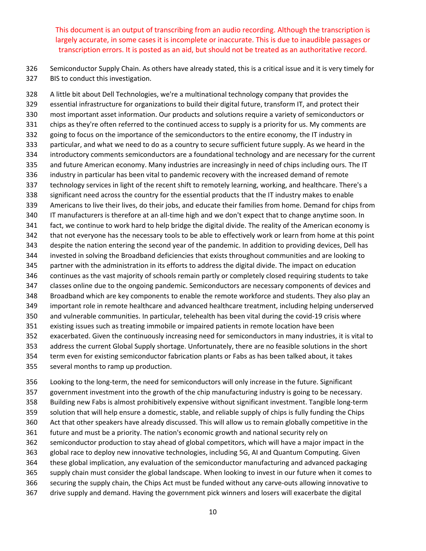Semiconductor Supply Chain. As others have already stated, this is a critical issue and it is very timely for BIS to conduct this investigation.

 A little bit about Dell Technologies, we're a multinational technology company that provides the essential infrastructure for organizations to build their digital future, transform IT, and protect their most important asset information. Our products and solutions require a variety of semiconductors or chips as they're often referred to the continued access to supply is a priority for us. My comments are going to focus on the importance of the semiconductors to the entire economy, the IT industry in particular, and what we need to do as a country to secure sufficient future supply. As we heard in the introductory comments semiconductors are a foundational technology and are necessary for the current and future American economy. Many industries are increasingly in need of chips including ours. The IT industry in particular has been vital to pandemic recovery with the increased demand of remote technology services in light of the recent shift to remotely learning, working, and healthcare. There's a significant need across the country for the essential products that the IT industry makes to enable Americans to live their lives, do their jobs, and educate their families from home. Demand for chips from 340 IT manufacturers is therefore at an all-time high and we don't expect that to change anytime soon. In fact, we continue to work hard to help bridge the digital divide. The reality of the American economy is that not everyone has the necessary tools to be able to effectively work or learn from home at this point despite the nation entering the second year of the pandemic. In addition to providing devices, Dell has invested in solving the Broadband deficiencies that exists throughout communities and are looking to partner with the administration in its efforts to address the digital divide. The impact on education continues as the vast majority of schools remain partly or completely closed requiring students to take classes online due to the ongoing pandemic. Semiconductors are necessary components of devices and Broadband which are key components to enable the remote workforce and students. They also play an important role in remote healthcare and advanced healthcare treatment, including helping underserved 350 and vulnerable communities. In particular, telehealth has been vital during the covid-19 crisis where existing issues such as treating immobile or impaired patients in remote location have been exacerbated. Given the continuously increasing need for semiconductors in many industries, it is vital to address the current Global Supply shortage. Unfortunately, there are no feasible solutions in the short term even for existing semiconductor fabrication plants or Fabs as has been talked about, it takes several months to ramp up production.

356 Looking to the long-term, the need for semiconductors will only increase in the future. Significant government investment into the growth of the chip manufacturing industry is going to be necessary. Building new Fabs is almost prohibitively expensive without significant investment. Tangible long‐term solution that will help ensure a domestic, stable, and reliable supply of chips is fully funding the Chips Act that other speakers have already discussed. This will allow us to remain globally competitive in the future and must be a priority. The nation's economic growth and national security rely on semiconductor production to stay ahead of global competitors, which will have a major impact in the global race to deploy new innovative technologies, including 5G, AI and Quantum Computing. Given these global implication, any evaluation of the semiconductor manufacturing and advanced packaging supply chain must consider the global landscape. When looking to invest in our future when it comes to securing the supply chain, the Chips Act must be funded without any carve‐outs allowing innovative to drive supply and demand. Having the government pick winners and losers will exacerbate the digital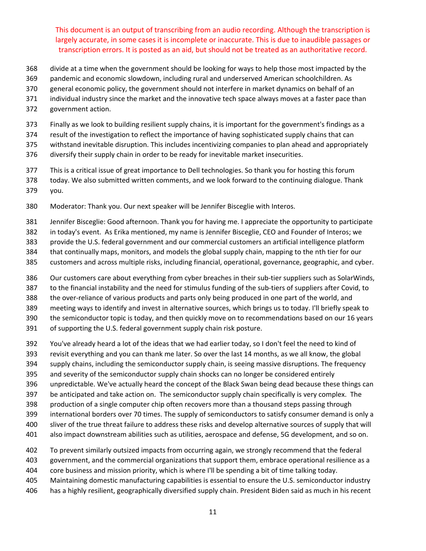- divide at a time when the government should be looking for ways to help those most impacted by the
- pandemic and economic slowdown, including rural and underserved American schoolchildren. As
- general economic policy, the government should not interfere in market dynamics on behalf of an
- individual industry since the market and the innovative tech space always moves at a faster pace than
- government action.
- Finally as we look to building resilient supply chains, it is important for the government's findings as a
- result of the investigation to reflect the importance of having sophisticated supply chains that can

withstand inevitable disruption. This includes incentivizing companies to plan ahead and appropriately

- diversify their supply chain in order to be ready for inevitable market insecurities.
- This is a critical issue of great importance to Dell technologies. So thank you for hosting this forum
- today. We also submitted written comments, and we look forward to the continuing dialogue. Thank you.
- 
- Moderator: Thank you. Our next speaker will be Jennifer Bisceglie with Interos.
- Jennifer Bisceglie: Good afternoon. Thank you for having me. I appreciate the opportunity to participate
- in today's event. As Erika mentioned, my name is Jennifer Bisceglie, CEO and Founder of Interos; we
- provide the U.S. federal government and our commercial customers an artificial intelligence platform
- that continually maps, monitors, and models the global supply chain, mapping to the nth tier for our
- customers and across multiple risks, including financial, operational, governance, geographic, and cyber.
- 386 Our customers care about everything from cyber breaches in their sub-tier suppliers such as SolarWinds,
- 387 to the financial instability and the need for stimulus funding of the sub-tiers of suppliers after Covid, to
- 388 the over-reliance of various products and parts only being produced in one part of the world, and
- meeting ways to identify and invest in alternative sources, which brings us to today. I'll briefly speak to
- the semiconductor topic is today, and then quickly move on to recommendations based on our 16 years
- of supporting the U.S. federal government supply chain risk posture.
- You've already heard a lot of the ideas that we had earlier today, so I don't feel the need to kind of
- revisit everything and you can thank me later. So over the last 14 months, as we all know, the global
- supply chains, including the semiconductor supply chain, is seeing massive disruptions. The frequency
- and severity of the semiconductor supply chain shocks can no longer be considered entirely
- unpredictable. We've actually heard the concept of the Black Swan being dead because these things can
- be anticipated and take action on. The semiconductor supply chain specifically is very complex. The
- production of a single computer chip often recovers more than a thousand steps passing through
- international borders over 70 times. The supply of semiconductors to satisfy consumer demand is only a
- sliver of the true threat failure to address these risks and develop alternative sources of supply that will
- also impact downstream abilities such as utilities, aerospace and defense, 5G development, and so on.
- To prevent similarly outsized impacts from occurring again, we strongly recommend that the federal
- government, and the commercial organizations that support them, embrace operational resilience as a
- core business and mission priority, which is where I'll be spending a bit of time talking today.
- Maintaining domestic manufacturing capabilities is essential to ensure the U.S. semiconductor industry
- has a highly resilient, geographically diversified supply chain. President Biden said as much in his recent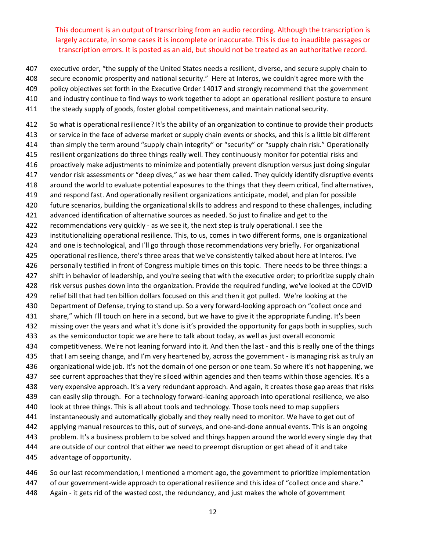- executive order, "the supply of the United States needs a resilient, diverse, and secure supply chain to
- secure economic prosperity and national security." Here at Interos, we couldn't agree more with the
- policy objectives set forth in the Executive Order 14017 and strongly recommend that the government
- and industry continue to find ways to work together to adopt an operational resilient posture to ensure
- the steady supply of goods, foster global competitiveness, and maintain national security.

 So what is operational resilience? It's the ability of an organization to continue to provide their products or service in the face of adverse market or supply chain events or shocks, and this is a little bit different than simply the term around "supply chain integrity" or "security" or "supply chain risk." Operationally resilient organizations do three things really well. They continuously monitor for potential risks and proactively make adjustments to minimize and potentially prevent disruption versus just doing singular vendor risk assessments or "deep dives," as we hear them called. They quickly identify disruptive events around the world to evaluate potential exposures to the things that they deem critical, find alternatives, and respond fast. And operationally resilient organizations anticipate, model, and plan for possible future scenarios, building the organizational skills to address and respond to these challenges, including advanced identification of alternative sources as needed. So just to finalize and get to the 422 recommendations very quickly - as we see it, the next step is truly operational. I see the institutionalizing operational resilience. This, to us, comes in two different forms, one is organizational and one is technological, and I'll go through those recommendations very briefly. For organizational operational resilience, there's three areas that we've consistently talked about here at Interos. I've personally testified in front of Congress multiple times on this topic. There needs to be three things: a shift in behavior of leadership, and you're seeing that with the executive order; to prioritize supply chain risk versus pushes down into the organization. Provide the required funding, we've looked at the COVID relief bill that had ten billion dollars focused on this and then it got pulled. We're looking at the 430 Department of Defense, trying to stand up. So a very forward-looking approach on "collect once and share," which I'll touch on here in a second, but we have to give it the appropriate funding. It's been missing over the years and what it's done is it's provided the opportunity for gaps both in supplies, such as the semiconductor topic we are here to talk about today, as well as just overall economic 434 competitiveness. We're not leaning forward into it. And then the last - and this is really one of the things that I am seeing change, and I'm very heartened by, across the government ‐ is managing risk as truly an organizational wide job. It's not the domain of one person or one team. So where it's not happening, we see current approaches that they're siloed within agencies and then teams within those agencies. It's a very expensive approach. It's a very redundant approach. And again, it creates those gap areas that risks can easily slip through. For a technology forward‐leaning approach into operational resilience, we also look at three things. This is all about tools and technology. Those tools need to map suppliers instantaneously and automatically globally and they really need to monitor. We have to get out of applying manual resources to this, out of surveys, and one‐and‐done annual events. This is an ongoing problem. It's a business problem to be solved and things happen around the world every single day that are outside of our control that either we need to preempt disruption or get ahead of it and take advantage of opportunity.

- So our last recommendation, I mentioned a moment ago, the government to prioritize implementation
- 447 of our government-wide approach to operational resilience and this idea of "collect once and share."
- 448 Again it gets rid of the wasted cost, the redundancy, and just makes the whole of government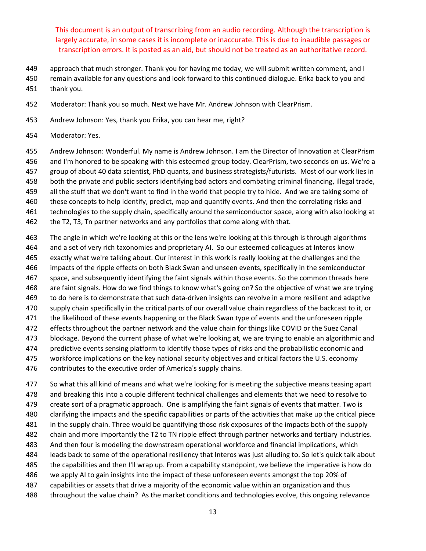- approach that much stronger. Thank you for having me today, we will submit written comment, and I
- remain available for any questions and look forward to this continued dialogue. Erika back to you and
- thank you.
- Moderator: Thank you so much. Next we have Mr. Andrew Johnson with ClearPrism.
- Andrew Johnson: Yes, thank you Erika, you can hear me, right?
- Moderator: Yes.
- Andrew Johnson: Wonderful. My name is Andrew Johnson. I am the Director of Innovation at ClearPrism
- and I'm honored to be speaking with this esteemed group today. ClearPrism, two seconds on us. We're a
- group of about 40 data scientist, PhD quants, and business strategists/futurists. Most of our work lies in
- both the private and public sectors identifying bad actors and combating criminal financing, illegal trade,
- all the stuff that we don't want to find in the world that people try to hide. And we are taking some of
- these concepts to help identify, predict, map and quantify events. And then the correlating risks and
- technologies to the supply chain, specifically around the semiconductor space, along with also looking at
- the T2, T3, Tn partner networks and any portfolios that come along with that.
- The angle in which we're looking at this or the lens we're looking at this through is through algorithms and a set of very rich taxonomies and proprietary AI. So our esteemed colleagues at Interos know exactly what we're talking about. Our interest in this work is really looking at the challenges and the impacts of the ripple effects on both Black Swan and unseen events, specifically in the semiconductor space, and subsequently identifying the faint signals within those events. So the common threads here are faint signals. How do we find things to know what's going on? So the objective of what we are trying 469 to do here is to demonstrate that such data-driven insights can revolve in a more resilient and adaptive supply chain specifically in the critical parts of our overall value chain regardless of the backcast to it, or the likelihood of these events happening or the Black Swan type of events and the unforeseen ripple effects throughout the partner network and the value chain for things like COVID or the Suez Canal blockage. Beyond the current phase of what we're looking at, we are trying to enable an algorithmic and predictive events sensing platform to identify those types of risks and the probabilistic economic and workforce implications on the key national security objectives and critical factors the U.S. economy contributes to the executive order of America's supply chains.
- So what this all kind of means and what we're looking for is meeting the subjective means teasing apart and breaking this into a couple different technical challenges and elements that we need to resolve to create sort of a pragmatic approach. One is amplifying the faint signals of events that matter. Two is clarifying the impacts and the specific capabilities or parts of the activities that make up the critical piece in the supply chain. Three would be quantifying those risk exposures of the impacts both of the supply chain and more importantly the T2 to TN ripple effect through partner networks and tertiary industries. And then four is modeling the downstream operational workforce and financial implications, which leads back to some of the operational resiliency that Interos was just alluding to. So let's quick talk about the capabilities and then I'll wrap up. From a capability standpoint, we believe the imperative is how do we apply AI to gain insights into the impact of these unforeseen events amongst the top 20% of capabilities or assets that drive a majority of the economic value within an organization and thus throughout the value chain? As the market conditions and technologies evolve, this ongoing relevance
	-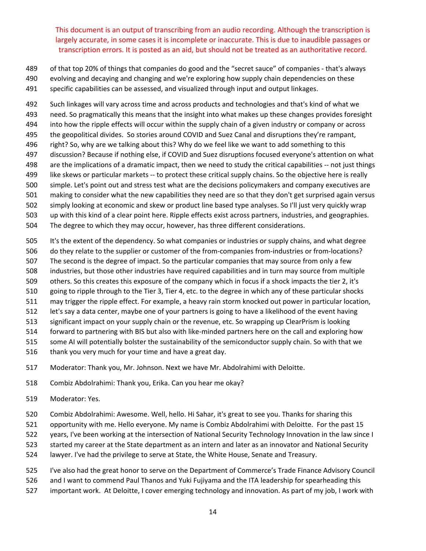- 489 of that top 20% of things that companies do good and the "secret sauce" of companies that's always
- evolving and decaying and changing and we're exploring how supply chain dependencies on these
- specific capabilities can be assessed, and visualized through input and output linkages.

 Such linkages will vary across time and across products and technologies and that's kind of what we need. So pragmatically this means that the insight into what makes up these changes provides foresight into how the ripple effects will occur within the supply chain of a given industry or company or across the geopolitical divides. So stories around COVID and Suez Canal and disruptions they're rampant, right? So, why are we talking about this? Why do we feel like we want to add something to this discussion? Because if nothing else, if COVID and Suez disruptions focused everyone's attention on what are the implications of a dramatic impact, then we need to study the critical capabilities ‐‐ not just things like skews or particular markets ‐‐ to protect these critical supply chains. So the objective here is really simple. Let's point out and stress test what are the decisions policymakers and company executives are making to consider what the new capabilities they need are so that they don't get surprised again versus simply looking at economic and skew or product line based type analyses. So I'll just very quickly wrap up with this kind of a clear point here. Ripple effects exist across partners, industries, and geographies. The degree to which they may occur, however, has three different considerations.

- It's the extent of the dependency. So what companies or industries or supply chains, and what degree
- 506 do they relate to the supplier or customer of the from-companies from-industries or from-locations?
- The second is the degree of impact. So the particular companies that may source from only a few
- industries, but those other industries have required capabilities and in turn may source from multiple
- others. So this creates this exposure of the company which in focus if a shock impacts the tier 2, it's
- going to ripple through to the Tier 3, Tier 4, etc. to the degree in which any of these particular shocks may trigger the ripple effect. For example, a heavy rain storm knocked out power in particular location,
- let's say a data center, maybe one of your partners is going to have a likelihood of the event having
- significant impact on your supply chain or the revenue, etc. So wrapping up ClearPrism is looking
- 514 forward to partnering with BIS but also with like-minded partners here on the call and exploring how
- some AI will potentially bolster the sustainability of the semiconductor supply chain. So with that we
- thank you very much for your time and have a great day.
- Moderator: Thank you, Mr. Johnson. Next we have Mr. Abdolrahimi with Deloitte.
- Combiz Abdolrahimi: Thank you, Erika. Can you hear me okay?
- Moderator: Yes.
- Combiz Abdolrahimi: Awesome. Well, hello. Hi Sahar, it's great to see you. Thanks for sharing this
- opportunity with me. Hello everyone. My name is Combiz Abdolrahimi with Deloitte. For the past 15
- years, I've been working at the intersection of National Security Technology Innovation in the law since I
- started my career at the State department as an intern and later as an innovator and National Security
- lawyer. I've had the privilege to serve at State, the White House, Senate and Treasury.
- I've also had the great honor to serve on the Department of Commerce's Trade Finance Advisory Council
- and I want to commend Paul Thanos and Yuki Fujiyama and the ITA leadership for spearheading this
- important work. At Deloitte, I cover emerging technology and innovation. As part of my job, I work with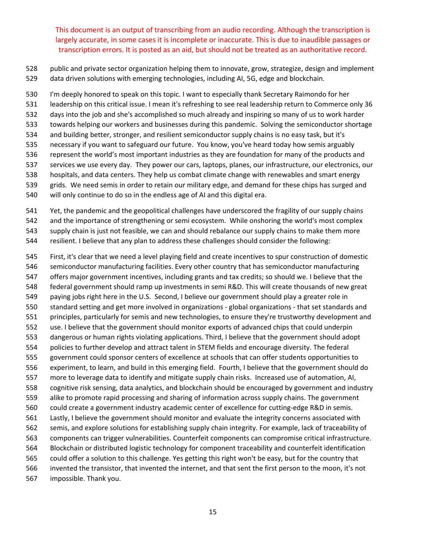public and private sector organization helping them to innovate, grow, strategize, design and implement data driven solutions with emerging technologies, including AI, 5G, edge and blockchain.

 I'm deeply honored to speak on this topic. I want to especially thank Secretary Raimondo for her leadership on this critical issue. I mean it's refreshing to see real leadership return to Commerce only 36 days into the job and she's accomplished so much already and inspiring so many of us to work harder towards helping our workers and businesses during this pandemic. Solving the semiconductor shortage and building better, stronger, and resilient semiconductor supply chains is no easy task, but it's necessary if you want to safeguard our future. You know, you've heard today how semis arguably represent the world's most important industries as they are foundation for many of the products and services we use every day. They power our cars, laptops, planes, our infrastructure, our electronics, our hospitals, and data centers. They help us combat climate change with renewables and smart energy grids. We need semis in order to retain our military edge, and demand for these chips has surged and will only continue to do so in the endless age of AI and this digital era.

541 Yet, the pandemic and the geopolitical challenges have underscored the fragility of our supply chains and the importance of strengthening or semi ecosystem. While onshoring the world's most complex supply chain is just not feasible, we can and should rebalance our supply chains to make them more

resilient. I believe that any plan to address these challenges should consider the following:

 First, it's clear that we need a level playing field and create incentives to spur construction of domestic semiconductor manufacturing facilities. Every other country that has semiconductor manufacturing offers major government incentives, including grants and tax credits; so should we. I believe that the federal government should ramp up investments in semi R&D. This will create thousands of new great paying jobs right here in the U.S. Second, I believe our government should play a greater role in standard setting and get more involved in organizations ‐ global organizations ‐ that set standards and principles, particularly for semis and new technologies, to ensure they're trustworthy development and use. I believe that the government should monitor exports of advanced chips that could underpin dangerous or human rights violating applications. Third, I believe that the government should adopt policies to further develop and attract talent in STEM fields and encourage diversity. The federal government could sponsor centers of excellence at schools that can offer students opportunities to experiment, to learn, and build in this emerging field. Fourth, I believe that the government should do more to leverage data to identify and mitigate supply chain risks. Increased use of automation, AI, cognitive risk sensing, data analytics, and blockchain should be encouraged by government and industry alike to promote rapid processing and sharing of information across supply chains. The government 560 could create a government industry academic center of excellence for cutting-edge R&D in semis. Lastly, I believe the government should monitor and evaluate the integrity concerns associated with semis, and explore solutions for establishing supply chain integrity. For example, lack of traceability of components can trigger vulnerabilities. Counterfeit components can compromise critical infrastructure. Blockchain or distributed logistic technology for component traceability and counterfeit identification could offer a solution to this challenge. Yes getting this right won't be easy, but for the country that invented the transistor, that invented the internet, and that sent the first person to the moon, it's not impossible. Thank you.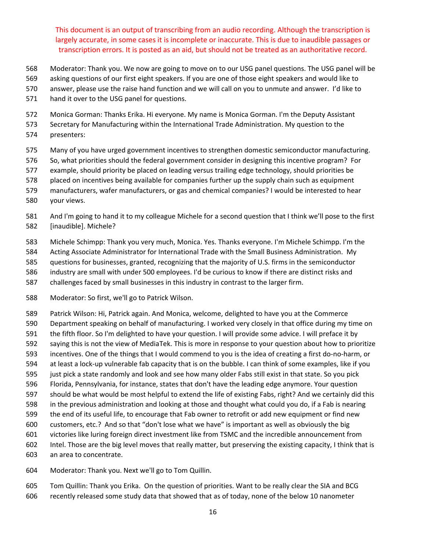- Moderator: Thank you. We now are going to move on to our USG panel questions. The USG panel will be
- asking questions of our first eight speakers. If you are one of those eight speakers and would like to
- answer, please use the raise hand function and we will call on you to unmute and answer. I'd like to
- hand it over to the USG panel for questions.
- Monica Gorman: Thanks Erika. Hi everyone. My name is Monica Gorman. I'm the Deputy Assistant
- Secretary for Manufacturing within the International Trade Administration. My question to the presenters:
- Many of you have urged government incentives to strengthen domestic semiconductor manufacturing.
- So, what priorities should the federal government consider in designing this incentive program? For
- example, should priority be placed on leading versus trailing edge technology, should priorities be
- placed on incentives being available for companies further up the supply chain such as equipment
- manufacturers, wafer manufacturers, or gas and chemical companies? I would be interested to hear
- your views.
- And I'm going to hand it to my colleague Michele for a second question that I think we'll pose to the first [inaudible]. Michele?
- Michele Schimpp: Thank you very much, Monica. Yes. Thanks everyone. I'm Michele Schimpp. I'm the
- Acting Associate Administrator for International Trade with the Small Business Administration. My
- questions for businesses, granted, recognizing that the majority of U.S. firms in the semiconductor
- industry are small with under 500 employees. I'd be curious to know if there are distinct risks and
- challenges faced by small businesses in this industry in contrast to the larger firm.
- Moderator: So first, we'll go to Patrick Wilson.
- Patrick Wilson: Hi, Patrick again. And Monica, welcome, delighted to have you at the Commerce
- Department speaking on behalf of manufacturing. I worked very closely in that office during my time on
- the fifth floor. So I'm delighted to have your question. I will provide some advice. I will preface it by
- saying this is not the view of MediaTek. This is more in response to your question about how to prioritize
- incentives. One of the things that I would commend to you is the idea of creating a first do‐no‐harm, or
- 594 at least a lock-up vulnerable fab capacity that is on the bubble. I can think of some examples, like if you
- just pick a state randomly and look and see how many older Fabs still exist in that state. So you pick
- Florida, Pennsylvania, for instance, states that don't have the leading edge anymore. Your question
- should be what would be most helpful to extend the life of existing Fabs, right? And we certainly did this
- in the previous administration and looking at those and thought what could you do, if a Fab is nearing the end of its useful life, to encourage that Fab owner to retrofit or add new equipment or find new
- customers, etc.? And so that "don't lose what we have" is important as well as obviously the big
- victories like luring foreign direct investment like from TSMC and the incredible announcement from
- Intel. Those are the big level moves that really matter, but preserving the existing capacity, I think that is
- an area to concentrate.
- Moderator: Thank you. Next we'll go to Tom Quillin.
- Tom Quillin: Thank you Erika. On the question of priorities. Want to be really clear the SIA and BCG recently released some study data that showed that as of today, none of the below 10 nanometer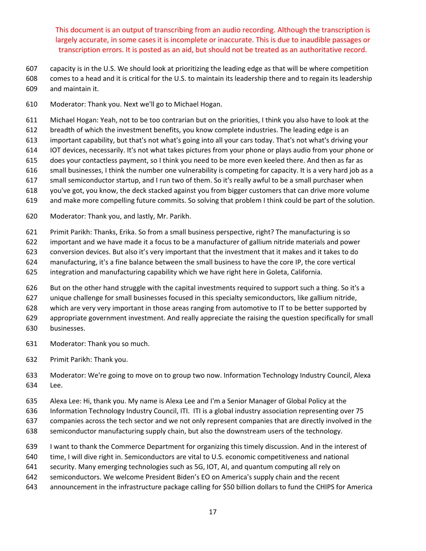- capacity is in the U.S. We should look at prioritizing the leading edge as that will be where competition
- comes to a head and it is critical for the U.S. to maintain its leadership there and to regain its leadership and maintain it.
- Moderator: Thank you. Next we'll go to Michael Hogan.
- Michael Hogan: Yeah, not to be too contrarian but on the priorities, I think you also have to look at the
- breadth of which the investment benefits, you know complete industries. The leading edge is an
- important capability, but that's not what's going into all your cars today. That's not what's driving your
- IOT devices, necessarily. It's not what takes pictures from your phone or plays audio from your phone or
- does your contactless payment, so I think you need to be more even keeled there. And then as far as
- small businesses, I think the number one vulnerability is competing for capacity. It is a very hard job as a small semiconductor startup, and I run two of them. So it's really awful to be a small purchaser when
- you've got, you know, the deck stacked against you from bigger customers that can drive more volume
- and make more compelling future commits. So solving that problem I think could be part of the solution.
- Moderator: Thank you, and lastly, Mr. Parikh.
- Primit Parikh: Thanks, Erika. So from a small business perspective, right? The manufacturing is so
- important and we have made it a focus to be a manufacturer of gallium nitride materials and power
- conversion devices. But also it's very important that the investment that it makes and it takes to do
- manufacturing, it's a fine balance between the small business to have the core IP, the core vertical
- integration and manufacturing capability which we have right here in Goleta, California.
- But on the other hand struggle with the capital investments required to support such a thing. So it's a
- unique challenge for small businesses focused in this specialty semiconductors, like gallium nitride,
- which are very very important in those areas ranging from automotive to IT to be better supported by
- appropriate government investment. And really appreciate the raising the question specifically for small
- businesses.
- Moderator: Thank you so much.
- Primit Parikh: Thank you.
- Moderator: We're going to move on to group two now. Information Technology Industry Council, Alexa Lee.
- Alexa Lee: Hi, thank you. My name is Alexa Lee and I'm a Senior Manager of Global Policy at the
- Information Technology Industry Council, ITI. ITI is a global industry association representing over 75
- companies across the tech sector and we not only represent companies that are directly involved in the
- semiconductor manufacturing supply chain, but also the downstream users of the technology.
- I want to thank the Commerce Department for organizing this timely discussion. And in the interest of
- time, I will dive right in. Semiconductors are vital to U.S. economic competitiveness and national
- security. Many emerging technologies such as 5G, IOT, AI, and quantum computing all rely on
- semiconductors. We welcome President Biden's EO on America's supply chain and the recent
- announcement in the infrastructure package calling for \$50 billion dollars to fund the CHIPS for America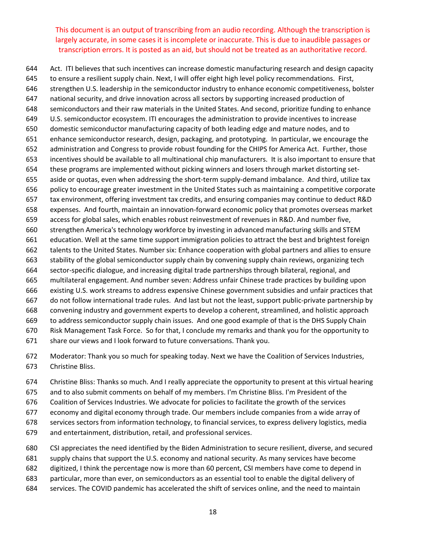Act. ITI believes that such incentives can increase domestic manufacturing research and design capacity to ensure a resilient supply chain. Next, I will offer eight high level policy recommendations. First, strengthen U.S. leadership in the semiconductor industry to enhance economic competitiveness, bolster national security, and drive innovation across all sectors by supporting increased production of semiconductors and their raw materials in the United States. And second, prioritize funding to enhance U.S. semiconductor ecosystem. ITI encourages the administration to provide incentives to increase domestic semiconductor manufacturing capacity of both leading edge and mature nodes, and to enhance semiconductor research, design, packaging, and prototyping. In particular, we encourage the administration and Congress to provide robust founding for the CHIPS for America Act. Further, those incentives should be available to all multinational chip manufacturers. It is also important to ensure that these programs are implemented without picking winners and losers through market distorting set‐ 655 aside or quotas, even when addressing the short-term supply-demand imbalance. And third, utilize tax policy to encourage greater investment in the United States such as maintaining a competitive corporate tax environment, offering investment tax credits, and ensuring companies may continue to deduct R&D expenses. And fourth, maintain an innovation‐forward economic policy that promotes overseas market access for global sales, which enables robust reinvestment of revenues in R&D. And number five, strengthen America's technology workforce by investing in advanced manufacturing skills and STEM education. Well at the same time support immigration policies to attract the best and brightest foreign talents to the United States. Number six: Enhance cooperation with global partners and allies to ensure stability of the global semiconductor supply chain by convening supply chain reviews, organizing tech sector‐specific dialogue, and increasing digital trade partnerships through bilateral, regional, and multilateral engagement. And number seven: Address unfair Chinese trade practices by building upon existing U.S. work streams to address expensive Chinese government subsidies and unfair practices that do not follow international trade rules. And last but not the least, support public‐private partnership by convening industry and government experts to develop a coherent, streamlined, and holistic approach to address semiconductor supply chain issues. And one good example of that is the DHS Supply Chain Risk Management Task Force. So for that, I conclude my remarks and thank you for the opportunity to share our views and I look forward to future conversations. Thank you.

- Moderator: Thank you so much for speaking today. Next we have the Coalition of Services Industries, Christine Bliss.
- Christine Bliss: Thanks so much. And I really appreciate the opportunity to present at this virtual hearing
- and to also submit comments on behalf of my members. I'm Christine Bliss. I'm President of the
- Coalition of Services Industries. We advocate for policies to facilitate the growth of the services
- economy and digital economy through trade. Our members include companies from a wide array of
- services sectors from information technology, to financial services, to express delivery logistics, media
- and entertainment, distribution, retail, and professional services.
- CSI appreciates the need identified by the Biden Administration to secure resilient, diverse, and secured
- supply chains that support the U.S. economy and national security. As many services have become
- digitized, I think the percentage now is more than 60 percent, CSI members have come to depend in
- particular, more than ever, on semiconductors as an essential tool to enable the digital delivery of
- services. The COVID pandemic has accelerated the shift of services online, and the need to maintain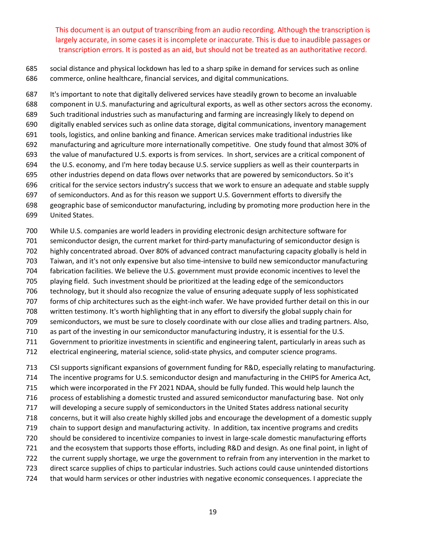social distance and physical lockdown has led to a sharp spike in demand for services such as online commerce, online healthcare, financial services, and digital communications.

 It's important to note that digitally delivered services have steadily grown to become an invaluable component in U.S. manufacturing and agricultural exports, as well as other sectors across the economy. Such traditional industries such as manufacturing and farming are increasingly likely to depend on digitally enabled services such as online data storage, digital communications, inventory management tools, logistics, and online banking and finance. American services make traditional industries like manufacturing and agriculture more internationally competitive. One study found that almost 30% of the value of manufactured U.S. exports is from services. In short, services are a critical component of the U.S. economy, and I'm here today because U.S. service suppliers as well as their counterparts in other industries depend on data flows over networks that are powered by semiconductors. So it's critical for the service sectors industry's success that we work to ensure an adequate and stable supply of semiconductors. And as for this reason we support U.S. Government efforts to diversify the geographic base of semiconductor manufacturing, including by promoting more production here in the United States.

While U.S. companies are world leaders in providing electronic design architecture software for

701 semiconductor design, the current market for third-party manufacturing of semiconductor design is

highly concentrated abroad. Over 80% of advanced contract manufacturing capacity globally is held in

703 Taiwan, and it's not only expensive but also time-intensive to build new semiconductor manufacturing

fabrication facilities. We believe the U.S. government must provide economic incentives to level the

 playing field. Such investment should be prioritized at the leading edge of the semiconductors technology, but it should also recognize the value of ensuring adequate supply of less sophisticated

707 forms of chip architectures such as the eight-inch wafer. We have provided further detail on this in our

written testimony. It's worth highlighting that in any effort to diversify the global supply chain for

semiconductors, we must be sure to closely coordinate with our close allies and trading partners. Also,

as part of the investing in our semiconductor manufacturing industry, it is essential for the U.S.

Government to prioritize investments in scientific and engineering talent, particularly in areas such as

712 electrical engineering, material science, solid-state physics, and computer science programs.

 CSI supports significant expansions of government funding for R&D, especially relating to manufacturing. The incentive programs for U.S. semiconductor design and manufacturing in the CHIPS for America Act, which were incorporated in the FY 2021 NDAA, should be fully funded. This would help launch the process of establishing a domestic trusted and assured semiconductor manufacturing base. Not only will developing a secure supply of semiconductors in the United States address national security concerns, but it will also create highly skilled jobs and encourage the development of a domestic supply chain to support design and manufacturing activity. In addition, tax incentive programs and credits 720 should be considered to incentivize companies to invest in large-scale domestic manufacturing efforts and the ecosystem that supports those efforts, including R&D and design. As one final point, in light of the current supply shortage, we urge the government to refrain from any intervention in the market to direct scarce supplies of chips to particular industries. Such actions could cause unintended distortions that would harm services or other industries with negative economic consequences. I appreciate the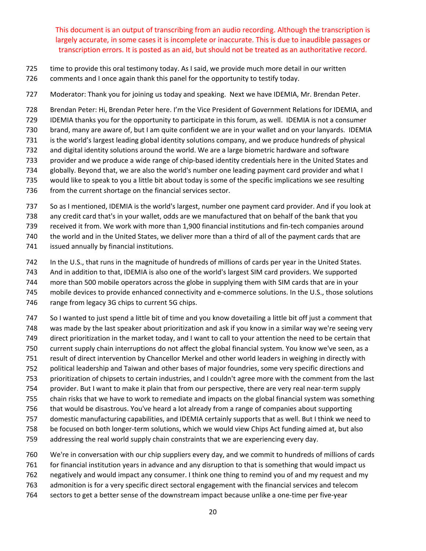- time to provide this oral testimony today. As I said, we provide much more detail in our written
- comments and I once again thank this panel for the opportunity to testify today.
- Moderator: Thank you for joining us today and speaking. Next we have IDEMIA, Mr. Brendan Peter.

Brendan Peter: Hi, Brendan Peter here. I'm the Vice President of Government Relations for IDEMIA, and

IDEMIA thanks you for the opportunity to participate in this forum, as well. IDEMIA is not a consumer

brand, many are aware of, but I am quite confident we are in your wallet and on your lanyards. IDEMIA

- is the world's largest leading global identity solutions company, and we produce hundreds of physical
- and digital identity solutions around the world. We are a large biometric hardware and software
- 733 provider and we produce a wide range of chip-based identity credentials here in the United States and
- globally. Beyond that, we are also the world's number one leading payment card provider and what I
- would like to speak to you a little bit about today is some of the specific implications we see resulting
- from the current shortage on the financial services sector.

So as I mentioned, IDEMIA is the world's largest, number one payment card provider. And if you look at

any credit card that's in your wallet, odds are we manufactured that on behalf of the bank that you

received it from. We work with more than 1,900 financial institutions and fin‐tech companies around

the world and in the United States, we deliver more than a third of all of the payment cards that are

issued annually by financial institutions.

In the U.S., that runs in the magnitude of hundreds of millions of cards per year in the United States.

And in addition to that, IDEMIA is also one of the world's largest SIM card providers. We supported

more than 500 mobile operators across the globe in supplying them with SIM cards that are in your

745 mobile devices to provide enhanced connectivity and e-commerce solutions. In the U.S., those solutions

range from legacy 3G chips to current 5G chips.

 So I wanted to just spend a little bit of time and you know dovetailing a little bit off just a comment that was made by the last speaker about prioritization and ask if you know in a similar way we're seeing very

direct prioritization in the market today, and I want to call to your attention the need to be certain that

current supply chain interruptions do not affect the global financial system. You know we've seen, as a

- result of direct intervention by Chancellor Merkel and other world leaders in weighing in directly with
- political leadership and Taiwan and other bases of major foundries, some very specific directions and

prioritization of chipsets to certain industries, and I couldn't agree more with the comment from the last

754 provider. But I want to make it plain that from our perspective, there are very real near-term supply

chain risks that we have to work to remediate and impacts on the global financial system was something

that would be disastrous. You've heard a lot already from a range of companies about supporting

domestic manufacturing capabilities, and IDEMIA certainly supports that as well. But I think we need to

- 758 be focused on both longer-term solutions, which we would view Chips Act funding aimed at, but also
- addressing the real world supply chain constraints that we are experiencing every day.

We're in conversation with our chip suppliers every day, and we commit to hundreds of millions of cards

for financial institution years in advance and any disruption to that is something that would impact us

- negatively and would impact any consumer. I think one thing to remind you of and my request and my
- admonition is for a very specific direct sectoral engagement with the financial services and telecom
- sectors to get a better sense of the downstream impact because unlike a one‐time per five‐year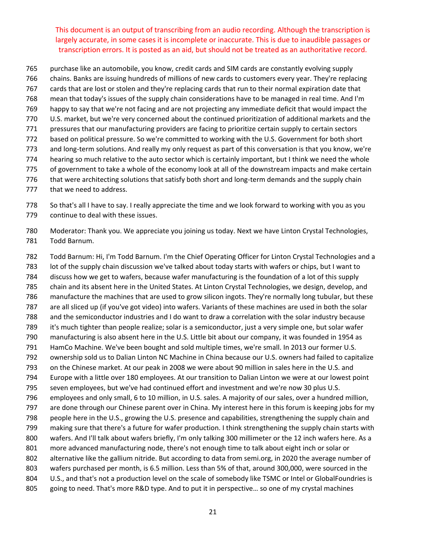- purchase like an automobile, you know, credit cards and SIM cards are constantly evolving supply
- chains. Banks are issuing hundreds of millions of new cards to customers every year. They're replacing
- cards that are lost or stolen and they're replacing cards that run to their normal expiration date that
- mean that today's issues of the supply chain considerations have to be managed in real time. And I'm
- happy to say that we're not facing and are not projecting any immediate deficit that would impact the
- U.S. market, but we're very concerned about the continued prioritization of additional markets and the
- pressures that our manufacturing providers are facing to prioritize certain supply to certain sectors
- based on political pressure. So we're committed to working with the U.S. Government for both short
- 773 and long-term solutions. And really my only request as part of this conversation is that you know, we're hearing so much relative to the auto sector which is certainly important, but I think we need the whole
- of government to take a whole of the economy look at all of the downstream impacts and make certain
- 776 that were architecting solutions that satisfy both short and long-term demands and the supply chain
- 777 that we need to address.

 So that's all I have to say. I really appreciate the time and we look forward to working with you as you continue to deal with these issues.

- Moderator: Thank you. We appreciate you joining us today. Next we have Linton Crystal Technologies, Todd Barnum.
- Todd Barnum: Hi, I'm Todd Barnum. I'm the Chief Operating Officer for Linton Crystal Technologies and a lot of the supply chain discussion we've talked about today starts with wafers or chips, but I want to discuss how we get to wafers, because wafer manufacturing is the foundation of a lot of this supply chain and its absent here in the United States. At Linton Crystal Technologies, we design, develop, and manufacture the machines that are used to grow silicon ingots. They're normally long tubular, but these are all sliced up (if you've got video) into wafers. Variants of these machines are used in both the solar and the semiconductor industries and I do want to draw a correlation with the solar industry because it's much tighter than people realize; solar is a semiconductor, just a very simple one, but solar wafer manufacturing is also absent here in the U.S. Little bit about our company, it was founded in 1954 as HamCo Machine. We've been bought and sold multiple times, we're small. In 2013 our former U.S. ownership sold us to Dalian Linton NC Machine in China because our U.S. owners had failed to capitalize on the Chinese market. At our peak in 2008 we were about 90 million in sales here in the U.S. and Europe with a little over 180 employees. At our transition to Dalian Linton we were at our lowest point seven employees, but we've had continued effort and investment and we're now 30 plus U.S. employees and only small, 6 to 10 million, in U.S. sales. A majority of our sales, over a hundred million, are done through our Chinese parent over in China. My interest here in this forum is keeping jobs for my people here in the U.S., growing the U.S. presence and capabilities, strengthening the supply chain and making sure that there's a future for wafer production. I think strengthening the supply chain starts with wafers. And I'll talk about wafers briefly, I'm only talking 300 millimeter or the 12 inch wafers here. As a more advanced manufacturing node, there's not enough time to talk about eight inch or solar or alternative like the gallium nitride. But according to data from semi.org, in 2020 the average number of wafers purchased per month, is 6.5 million. Less than 5% of that, around 300,000, were sourced in the 804 U.S., and that's not a production level on the scale of somebody like TSMC or Intel or GlobalFoundries is going to need. That's more R&D type. And to put it in perspective… so one of my crystal machines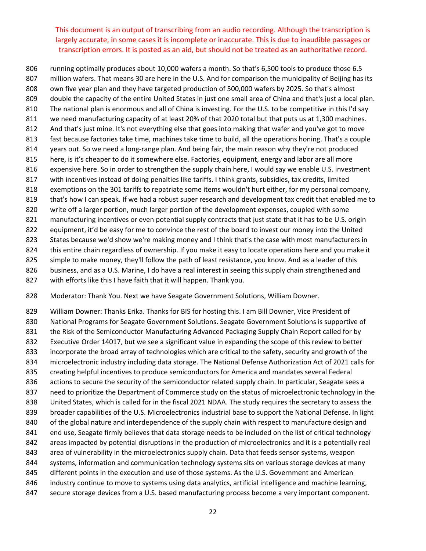running optimally produces about 10,000 wafers a month. So that's 6,500 tools to produce those 6.5 million wafers. That means 30 are here in the U.S. And for comparison the municipality of Beijing has its own five year plan and they have targeted production of 500,000 wafers by 2025. So that's almost double the capacity of the entire United States in just one small area of China and that's just a local plan. The national plan is enormous and all of China is investing. For the U.S. to be competitive in this I'd say we need manufacturing capacity of at least 20% of that 2020 total but that puts us at 1,300 machines. And that's just mine. It's not everything else that goes into making that wafer and you've got to move fast because factories take time, machines take time to build, all the operations honing. That's a couple years out. So we need a long‐range plan. And being fair, the main reason why they're not produced here, is it's cheaper to do it somewhere else. Factories, equipment, energy and labor are all more expensive here. So in order to strengthen the supply chain here, I would say we enable U.S. investment 817 with incentives instead of doing penalties like tariffs. I think grants, subsidies, tax credits, limited exemptions on the 301 tariffs to repatriate some items wouldn't hurt either, for my personal company, 819 that's how I can speak. If we had a robust super research and development tax credit that enabled me to write off a larger portion, much larger portion of the development expenses, coupled with some 821 manufacturing incentives or even potential supply contracts that just state that it has to be U.S. origin 822 equipment, it'd be easy for me to convince the rest of the board to invest our money into the United States because we'd show we're making money and I think that's the case with most manufacturers in this entire chain regardless of ownership. If you make it easy to locate operations here and you make it 825 simple to make money, they'll follow the path of least resistance, you know. And as a leader of this 826 business, and as a U.S. Marine, I do have a real interest in seeing this supply chain strengthened and

827 with efforts like this I have faith that it will happen. Thank you.

Moderator: Thank You. Next we have Seagate Government Solutions, William Downer.

 William Downer: Thanks Erika. Thanks for BIS for hosting this. I am Bill Downer, Vice President of National Programs for Seagate Government Solutions. Seagate Government Solutions is supportive of the Risk of the Semiconductor Manufacturing Advanced Packaging Supply Chain Report called for by Executive Order 14017, but we see a significant value in expanding the scope of this review to better incorporate the broad array of technologies which are critical to the safety, security and growth of the microelectronic industry including data storage. The National Defense Authorization Act of 2021 calls for creating helpful incentives to produce semiconductors for America and mandates several Federal 836 actions to secure the security of the semiconductor related supply chain. In particular, Seagate sees a need to prioritize the Department of Commerce study on the status of microelectronic technology in the United States, which is called for in the fiscal 2021 NDAA. The study requires the secretary to assess the broader capabilities of the U.S. Microelectronics industrial base to support the National Defense. In light 840 of the global nature and interdependence of the supply chain with respect to manufacture design and 841 end use, Seagate firmly believes that data storage needs to be included on the list of critical technology areas impacted by potential disruptions in the production of microelectronics and it is a potentially real area of vulnerability in the microelectronics supply chain. Data that feeds sensor systems, weapon systems, information and communication technology systems sits on various storage devices at many different points in the execution and use of those systems. As the U.S. Government and American industry continue to move to systems using data analytics, artificial intelligence and machine learning, 847 secure storage devices from a U.S. based manufacturing process become a very important component.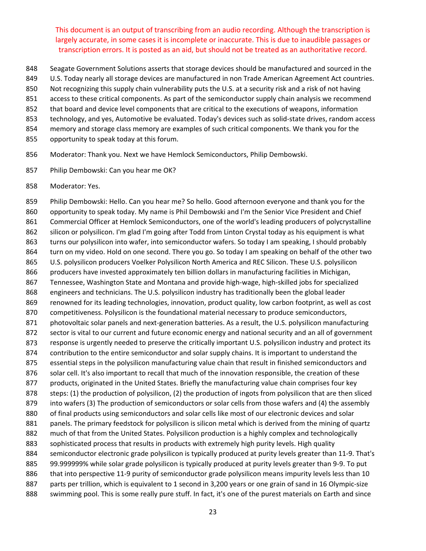- 848 Seagate Government Solutions asserts that storage devices should be manufactured and sourced in the
- 849 U.S. Today nearly all storage devices are manufactured in non Trade American Agreement Act countries.
- 850 Not recognizing this supply chain vulnerability puts the U.S. at a security risk and a risk of not having
- 851 access to these critical components. As part of the semiconductor supply chain analysis we recommend
- 852 that board and device level components that are critical to the executions of weapons, information
- 853 technology, and yes, Automotive be evaluated. Today's devices such as solid-state drives, random access
- 854 memory and storage class memory are examples of such critical components. We thank you for the
- 855 opportunity to speak today at this forum.
- 856 Moderator: Thank you. Next we have Hemlock Semiconductors, Philip Dembowski.
- 857 Philip Dembowski: Can you hear me OK?
- 858 Moderator: Yes.

859 Philip Dembowski: Hello. Can you hear me? So hello. Good afternoon everyone and thank you for the 860 opportunity to speak today. My name is Phil Dembowski and I'm the Senior Vice President and Chief 861 Commercial Officer at Hemlock Semiconductors, one of the world's leading producers of polycrystalline 862 silicon or polysilicon. I'm glad I'm going after Todd from Linton Crystal today as his equipment is what 863 turns our polysilicon into wafer, into semiconductor wafers. So today I am speaking, I should probably 864 turn on my video. Hold on one second. There you go. So today I am speaking on behalf of the other two 865 U.S. polysilicon producers Voelker Polysilicon North America and REC Silicon. These U.S. polysilicon 866 producers have invested approximately ten billion dollars in manufacturing facilities in Michigan, 867 Tennessee, Washington State and Montana and provide high-wage, high-skilled jobs for specialized 868 engineers and technicians. The U.S. polysilicon industry has traditionally been the global leader 869 renowned for its leading technologies, innovation, product quality, low carbon footprint, as well as cost 870 competitiveness. Polysilicon is the foundational material necessary to produce semiconductors, 871 photovoltaic solar panels and next-generation batteries. As a result, the U.S. polysilicon manufacturing 872 sector is vital to our current and future economic energy and national security and an all of government 873 response is urgently needed to preserve the critically important U.S. polysilicon industry and protect its 874 contribution to the entire semiconductor and solar supply chains. It is important to understand the 875 essential steps in the polysilicon manufacturing value chain that result in finished semiconductors and 876 solar cell. It's also important to recall that much of the innovation responsible, the creation of these 877 products, originated in the United States. Briefly the manufacturing value chain comprises four key 878 steps: (1) the production of polysilicon, (2) the production of ingots from polysilicon that are then sliced 879 into wafers (3) The production of semiconductors or solar cells from those wafers and (4) the assembly 880 of final products using semiconductors and solar cells like most of our electronic devices and solar 881 panels. The primary feedstock for polysilicon is silicon metal which is derived from the mining of quartz 882 much of that from the United States. Polysilicon production is a highly complex and technologically 883 sophisticated process that results in products with extremely high purity levels. High quality 884 semiconductor electronic grade polysilicon is typically produced at purity levels greater than 11-9. That's 885 99.999999% while solar grade polysilicon is typically produced at purity levels greater than 9-9. To put 886 that into perspective 11-9 purity of semiconductor grade polysilicon means impurity levels less than 10 887 parts per trillion, which is equivalent to 1 second in 3,200 years or one grain of sand in 16 Olympic-size 888 swimming pool. This is some really pure stuff. In fact, it's one of the purest materials on Earth and since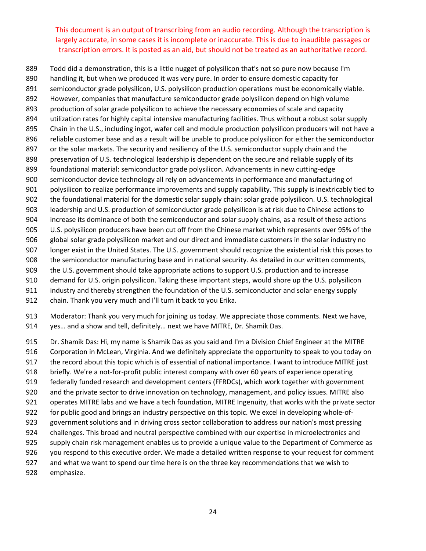Todd did a demonstration, this is a little nugget of polysilicon that's not so pure now because I'm handling it, but when we produced it was very pure. In order to ensure domestic capacity for semiconductor grade polysilicon, U.S. polysilicon production operations must be economically viable. However, companies that manufacture semiconductor grade polysilicon depend on high volume production of solar grade polysilicon to achieve the necessary economies of scale and capacity utilization rates for highly capital intensive manufacturing facilities. Thus without a robust solar supply Chain in the U.S., including ingot, wafer cell and module production polysilicon producers will not have a reliable customer base and as a result will be unable to produce polysilicon for either the semiconductor 897 or the solar markets. The security and resiliency of the U.S. semiconductor supply chain and the preservation of U.S. technological leadership is dependent on the secure and reliable supply of its foundational material: semiconductor grade polysilicon. Advancements in new cutting‐edge semiconductor device technology all rely on advancements in performance and manufacturing of polysilicon to realize performance improvements and supply capability. This supply is inextricably tied to the foundational material for the domestic solar supply chain: solar grade polysilicon. U.S. technological leadership and U.S. production of semiconductor grade polysilicon is at risk due to Chinese actions to increase its dominance of both the semiconductor and solar supply chains, as a result of these actions U.S. polysilicon producers have been cut off from the Chinese market which represents over 95% of the global solar grade polysilicon market and our direct and immediate customers in the solar industry no longer exist in the United States. The U.S. government should recognize the existential risk this poses to the semiconductor manufacturing base and in national security. As detailed in our written comments, the U.S. government should take appropriate actions to support U.S. production and to increase demand for U.S. origin polysilicon. Taking these important steps, would shore up the U.S. polysilicon industry and thereby strengthen the foundation of the U.S. semiconductor and solar energy supply

chain. Thank you very much and I'll turn it back to you Erika.

 Moderator: Thank you very much for joining us today. We appreciate those comments. Next we have, yes… and a show and tell, definitely… next we have MITRE, Dr. Shamik Das.

 Dr. Shamik Das: Hi, my name is Shamik Das as you said and I'm a Division Chief Engineer at the MITRE Corporation in McLean, Virginia. And we definitely appreciate the opportunity to speak to you today on the record about this topic which is of essential of national importance. I want to introduce MITRE just 918 briefly. We're a not-for-profit public interest company with over 60 years of experience operating federally funded research and development centers (FFRDCs), which work together with government and the private sector to drive innovation on technology, management, and policy issues. MITRE also operates MITRE labs and we have a tech foundation, MITRE Ingenuity, that works with the private sector 922 for public good and brings an industry perspective on this topic. We excel in developing whole-of- government solutions and in driving cross sector collaboration to address our nation's most pressing challenges. This broad and neutral perspective combined with our expertise in microelectronics and supply chain risk management enables us to provide a unique value to the Department of Commerce as you respond to this executive order. We made a detailed written response to your request for comment and what we want to spend our time here is on the three key recommendations that we wish to emphasize.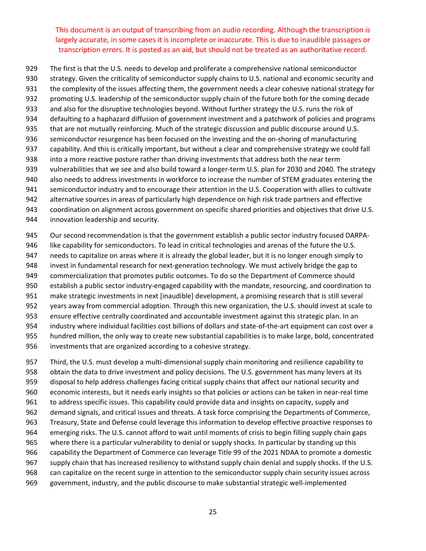The first is that the U.S. needs to develop and proliferate a comprehensive national semiconductor

- strategy. Given the criticality of semiconductor supply chains to U.S. national and economic security and
- the complexity of the issues affecting them, the government needs a clear cohesive national strategy for
- promoting U.S. leadership of the semiconductor supply chain of the future both for the coming decade
- and also for the disruptive technologies beyond. Without further strategy the U.S. runs the risk of
- defaulting to a haphazard diffusion of government investment and a patchwork of policies and programs
- that are not mutually reinforcing. Much of the strategic discussion and public discourse around U.S. 936 semiconductor resurgence has been focused on the investing and the on-shoring of manufacturing
- capability. And this is critically important, but without a clear and comprehensive strategy we could fall
- into a more reactive posture rather than driving investments that address both the near term
- 939 vulnerabilities that we see and also build toward a longer-term U.S. plan for 2030 and 2040. The strategy
- 940 also needs to address investments in workforce to increase the number of STEM graduates entering the
- semiconductor industry and to encourage their attention in the U.S. Cooperation with allies to cultivate
- alternative sources in areas of particularly high dependence on high risk trade partners and effective
- coordination on alignment across government on specific shared priorities and objectives that drive U.S.
- innovation leadership and security.
- 945 Our second recommendation is that the government establish a public sector industry focused DARPA-
- like capability for semiconductors. To lead in critical technologies and arenas of the future the U.S.
- needs to capitalize on areas where it is already the global leader, but it is no longer enough simply to
- 948 invest in fundamental research for next-generation technology. We must actively bridge the gap to
- commercialization that promotes public outcomes. To do so the Department of Commerce should
- establish a public sector industry‐engaged capability with the mandate, resourcing, and coordination to
- make strategic investments in next [inaudible] development, a promising research that is still several
- years away from commercial adoption. Through this new organization, the U.S. should invest at scale to
- ensure effective centrally coordinated and accountable investment against this strategic plan. In an
- 954 industry where individual facilities cost billions of dollars and state-of-the-art equipment can cost over a
- hundred million, the only way to create new substantial capabilities is to make large, bold, concentrated
- investments that are organized according to a cohesive strategy.
- 957 Third, the U.S. must develop a multi-dimensional supply chain monitoring and resilience capability to obtain the data to drive investment and policy decisions. The U.S. government has many levers at its disposal to help address challenges facing critical supply chains that affect our national security and economic interests, but it needs early insights so that policies or actions can be taken in near‐real time to address specific issues. This capability could provide data and insights on capacity, supply and demand signals, and critical issues and threats. A task force comprising the Departments of Commerce, Treasury, State and Defense could leverage this information to develop effective proactive responses to emerging risks. The U.S. cannot afford to wait until moments of crisis to begin filling supply chain gaps where there is a particular vulnerability to denial or supply shocks. In particular by standing up this capability the Department of Commerce can leverage Title 99 of the 2021 NDAA to promote a domestic supply chain that has increased resiliency to withstand supply chain denial and supply shocks. If the U.S. can capitalize on the recent surge in attention to the semiconductor supply chain security issues across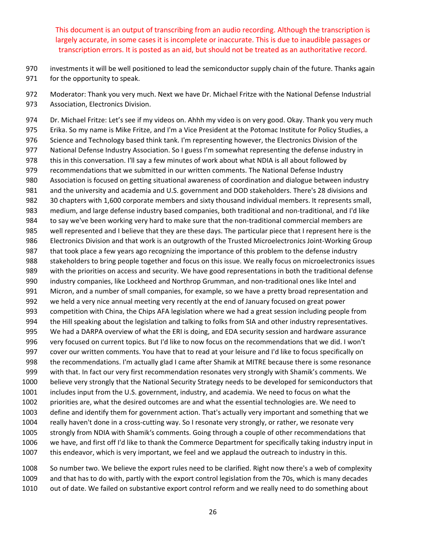investments it will be well positioned to lead the semiconductor supply chain of the future. Thanks again for the opportunity to speak.

 Moderator: Thank you very much. Next we have Dr. Michael Fritze with the National Defense Industrial Association, Electronics Division.

 Dr. Michael Fritze: Let's see if my videos on. Ahhh my video is on very good. Okay. Thank you very much Erika. So my name is Mike Fritze, and I'm a Vice President at the Potomac Institute for Policy Studies, a Science and Technology based think tank. I'm representing however, the Electronics Division of the National Defense Industry Association. So I guess I'm somewhat representing the defense industry in this in this conversation. I'll say a few minutes of work about what NDIA is all about followed by 979 recommendations that we submitted in our written comments. The National Defense Industry Association is focused on getting situational awareness of coordination and dialogue between industry and the university and academia and U.S. government and DOD stakeholders. There's 28 divisions and 30 chapters with 1,600 corporate members and sixty thousand individual members. It represents small, 983 medium, and large defense industry based companies, both traditional and non-traditional, and I'd like 984 to say we've been working very hard to make sure that the non-traditional commercial members are well represented and I believe that they are these days. The particular piece that I represent here is the 986 Electronics Division and that work is an outgrowth of the Trusted Microelectronics Joint-Working Group that took place a few years ago recognizing the importance of this problem to the defense industry stakeholders to bring people together and focus on this issue. We really focus on microelectronics issues with the priorities on access and security. We have good representations in both the traditional defense 990 industry companies, like Lockheed and Northrop Grumman, and non-traditional ones like Intel and Micron, and a number of small companies, for example, so we have a pretty broad representation and we held a very nice annual meeting very recently at the end of January focused on great power competition with China, the Chips AFA legislation where we had a great session including people from the Hill speaking about the legislation and talking to folks from SIA and other industry representatives. We had a DARPA overview of what the ERI is doing, and EDA security session and hardware assurance very focused on current topics. But I'd like to now focus on the recommendations that we did. I won't cover our written comments. You have that to read at your leisure and I'd like to focus specifically on the recommendations. I'm actually glad I came after Shamik at MITRE because there is some resonance with that. In fact our very first recommendation resonates very strongly with Shamik's comments. We believe very strongly that the National Security Strategy needs to be developed for semiconductors that includes input from the U.S. government, industry, and academia. We need to focus on what the priorities are, what the desired outcomes are and what the essential technologies are. We need to define and identify them for government action. That's actually very important and something that we 1004 really haven't done in a cross-cutting way. So I resonate very strongly, or rather, we resonate very strongly from NDIA with Shamik's comments. Going through a couple of other recommendations that we have, and first off I'd like to thank the Commerce Department for specifically taking industry input in this endeavor, which is very important, we feel and we applaud the outreach to industry in this.

 So number two. We believe the export rules need to be clarified. Right now there's a web of complexity and that has to do with, partly with the export control legislation from the 70s, which is many decades out of date. We failed on substantive export control reform and we really need to do something about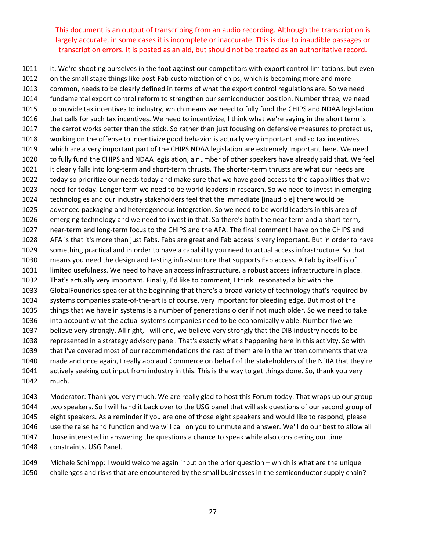1011 it. We're shooting ourselves in the foot against our competitors with export control limitations, but even 1012 on the small stage things like post-Fab customization of chips, which is becoming more and more common, needs to be clearly defined in terms of what the export control regulations are. So we need fundamental export control reform to strengthen our semiconductor position. Number three, we need to provide tax incentives to industry, which means we need to fully fund the CHIPS and NDAA legislation that calls for such tax incentives. We need to incentivize, I think what we're saying in the short term is the carrot works better than the stick. So rather than just focusing on defensive measures to protect us, working on the offense to incentivize good behavior is actually very important and so tax incentives which are a very important part of the CHIPS NDAA legislation are extremely important here. We need to fully fund the CHIPS and NDAA legislation, a number of other speakers have already said that. We feel 1021 it clearly falls into long-term and short-term thrusts. The shorter-term thrusts are what our needs are today so prioritize our needs today and make sure that we have good access to the capabilities that we need for today. Longer term we need to be world leaders in research. So we need to invest in emerging technologies and our industry stakeholders feel that the immediate [inaudible] there would be advanced packaging and heterogeneous integration. So we need to be world leaders in this area of emerging technology and we need to invest in that. So there's both the near term and a short‐term, 1027 near-term and long-term focus to the CHIPS and the AFA. The final comment I have on the CHIPS and AFA is that it's more than just Fabs. Fabs are great and Fab access is very important. But in order to have something practical and in order to have a capability you need to actual access infrastructure. So that means you need the design and testing infrastructure that supports Fab access. A Fab by itself is of limited usefulness. We need to have an access infrastructure, a robust access infrastructure in place. That's actually very important. Finally, I'd like to comment, I think I resonated a bit with the GlobalFoundries speaker at the beginning that there's a broad variety of technology that's required by systems companies state‐of‐the‐art is of course, very important for bleeding edge. But most of the things that we have in systems is a number of generations older if not much older. So we need to take into account what the actual systems companies need to be economically viable. Number five we believe very strongly. All right, I will end, we believe very strongly that the DIB industry needs to be represented in a strategy advisory panel. That's exactly what's happening here in this activity. So with that I've covered most of our recommendations the rest of them are in the written comments that we made and once again, I really applaud Commerce on behalf of the stakeholders of the NDIA that they're actively seeking out input from industry in this. This is the way to get things done. So, thank you very much.

 Moderator: Thank you very much. We are really glad to host this Forum today. That wraps up our group two speakers. So I will hand it back over to the USG panel that will ask questions of our second group of eight speakers. As a reminder if you are one of those eight speakers and would like to respond, please use the raise hand function and we will call on you to unmute and answer. We'll do our best to allow all those interested in answering the questions a chance to speak while also considering our time constraints. USG Panel.

 Michele Schimpp: I would welcome again input on the prior question – which is what are the unique challenges and risks that are encountered by the small businesses in the semiconductor supply chain?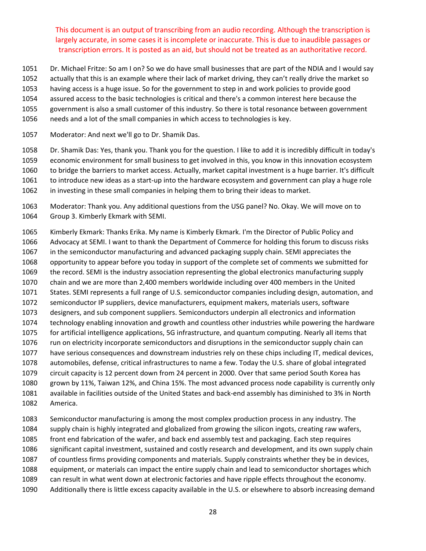- Dr. Michael Fritze: So am I on? So we do have small businesses that are part of the NDIA and I would say
- 1052 actually that this is an example where their lack of market driving, they can't really drive the market so
- having access is a huge issue. So for the government to step in and work policies to provide good
- assured access to the basic technologies is critical and there's a common interest here because the
- government is also a small customer of this industry. So there is total resonance between government
- needs and a lot of the small companies in which access to technologies is key.
- Moderator: And next we'll go to Dr. Shamik Das.

 Dr. Shamik Das: Yes, thank you. Thank you for the question. I like to add it is incredibly difficult in today's economic environment for small business to get involved in this, you know in this innovation ecosystem to bridge the barriers to market access. Actually, market capital investment is a huge barrier. It's difficult 1061 to introduce new ideas as a start-up into the hardware ecosystem and government can play a huge role in investing in these small companies in helping them to bring their ideas to market.

 Moderator: Thank you. Any additional questions from the USG panel? No. Okay. We will move on to Group 3. Kimberly Ekmark with SEMI.

 Kimberly Ekmark: Thanks Erika. My name is Kimberly Ekmark. I'm the Director of Public Policy and Advocacy at SEMI. I want to thank the Department of Commerce for holding this forum to discuss risks in the semiconductor manufacturing and advanced packaging supply chain. SEMI appreciates the opportunity to appear before you today in support of the complete set of comments we submitted for the record. SEMI is the industry association representing the global electronics manufacturing supply chain and we are more than 2,400 members worldwide including over 400 members in the United States. SEMI represents a full range of U.S. semiconductor companies including design, automation, and semiconductor IP suppliers, device manufacturers, equipment makers, materials users, software designers, and sub component suppliers. Semiconductors underpin all electronics and information technology enabling innovation and growth and countless other industries while powering the hardware for artificial intelligence applications, 5G infrastructure, and quantum computing. Nearly all items that run on electricity incorporate semiconductors and disruptions in the semiconductor supply chain can have serious consequences and downstream industries rely on these chips including IT, medical devices, automobiles, defense, critical infrastructures to name a few. Today the U.S. share of global integrated circuit capacity is 12 percent down from 24 percent in 2000. Over that same period South Korea has grown by 11%, Taiwan 12%, and China 15%. The most advanced process node capability is currently only available in facilities outside of the United States and back‐end assembly has diminished to 3% in North America.

 Semiconductor manufacturing is among the most complex production process in any industry. The supply chain is highly integrated and globalized from growing the silicon ingots, creating raw wafers, front end fabrication of the wafer, and back end assembly test and packaging. Each step requires significant capital investment, sustained and costly research and development, and its own supply chain of countless firms providing components and materials. Supply constraints whether they be in devices, equipment, or materials can impact the entire supply chain and lead to semiconductor shortages which can result in what went down at electronic factories and have ripple effects throughout the economy. Additionally there is little excess capacity available in the U.S. or elsewhere to absorb increasing demand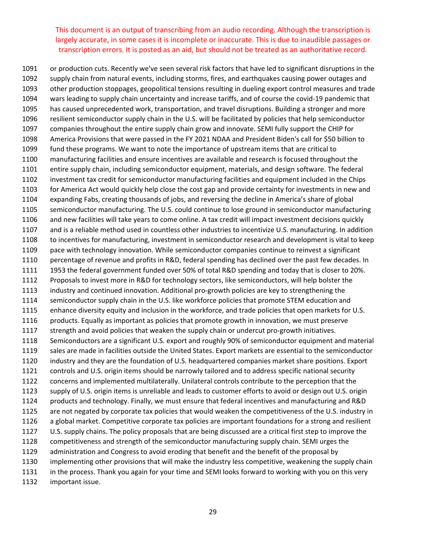or production cuts. Recently we've seen several risk factors that have led to significant disruptions in the supply chain from natural events, including storms, fires, and earthquakes causing power outages and other production stoppages, geopolitical tensions resulting in dueling export control measures and trade wars leading to supply chain uncertainty and increase tariffs, and of course the covid‐19 pandemic that has caused unprecedented work, transportation, and travel disruptions. Building a stronger and more resilient semiconductor supply chain in the U.S. will be facilitated by policies that help semiconductor companies throughout the entire supply chain grow and innovate. SEMI fully support the CHIP for America Provisions that were passed in the FY 2021 NDAA and President Biden's call for \$50 billion to fund these programs. We want to note the importance of upstream items that are critical to manufacturing facilities and ensure incentives are available and research is focused throughout the entire supply chain, including semiconductor equipment, materials, and design software. The federal investment tax credit for semiconductor manufacturing facilities and equipment included in the Chips for America Act would quickly help close the cost gap and provide certainty for investments in new and expanding Fabs, creating thousands of jobs, and reversing the decline in America's share of global semiconductor manufacturing. The U.S. could continue to lose ground in semiconductor manufacturing and new facilities will take years to come online. A tax credit will impact investment decisions quickly and is a reliable method used in countless other industries to incentivize U.S. manufacturing. In addition to incentives for manufacturing, investment in semiconductor research and development is vital to keep pace with technology innovation. While semiconductor companies continue to reinvest a significant percentage of revenue and profits in R&D, federal spending has declined over the past few decades. In 1953 the federal government funded over 50% of total R&D spending and today that is closer to 20%. Proposals to invest more in R&D for technology sectors, like semiconductors, will help bolster the industry and continued innovation. Additional pro‐growth policies are key to strengthening the semiconductor supply chain in the U.S. like workforce policies that promote STEM education and enhance diversity equity and inclusion in the workforce, and trade policies that open markets for U.S. products. Equally as important as policies that promote growth in innovation, we must preserve 1117 strength and avoid policies that weaken the supply chain or undercut pro-growth initiatives. Semiconductors are a significant U.S. export and roughly 90% of semiconductor equipment and material sales are made in facilities outside the United States. Export markets are essential to the semiconductor industry and they are the foundation of U.S. headquartered companies market share positions. Export 1121 controls and U.S. origin items should be narrowly tailored and to address specific national security concerns and implemented multilaterally. Unilateral controls contribute to the perception that the supply of U.S. origin items is unreliable and leads to customer efforts to avoid or design out U.S. origin products and technology. Finally, we must ensure that federal incentives and manufacturing and R&D are not negated by corporate tax policies that would weaken the competitiveness of the U.S. industry in a global market. Competitive corporate tax policies are important foundations for a strong and resilient U.S. supply chains. The policy proposals that are being discussed are a critical first step to improve the competitiveness and strength of the semiconductor manufacturing supply chain. SEMI urges the administration and Congress to avoid eroding that benefit and the benefit of the proposal by implementing other provisions that will make the industry less competitive, weakening the supply chain in the process. Thank you again for your time and SEMI looks forward to working with you on this very important issue.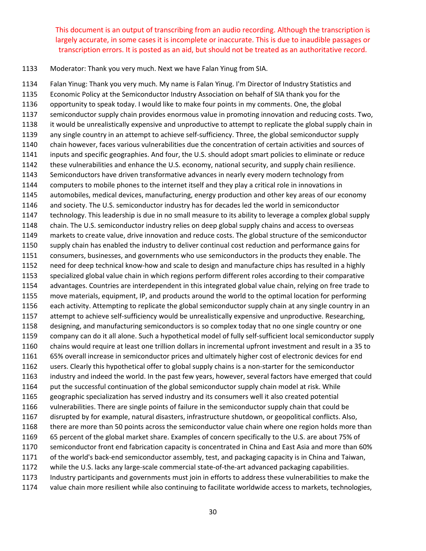Moderator: Thank you very much. Next we have Falan Yinug from SIA.

 Falan Yinug: Thank you very much. My name is Falan Yinug. I'm Director of Industry Statistics and Economic Policy at the Semiconductor Industry Association on behalf of SIA thank you for the opportunity to speak today. I would like to make four points in my comments. One, the global semiconductor supply chain provides enormous value in promoting innovation and reducing costs. Two, it would be unrealistically expensive and unproductive to attempt to replicate the global supply chain in any single country in an attempt to achieve self‐sufficiency. Three, the global semiconductor supply chain however, faces various vulnerabilities due the concentration of certain activities and sources of inputs and specific geographies. And four, the U.S. should adopt smart policies to eliminate or reduce these vulnerabilities and enhance the U.S. economy, national security, and supply chain resilience. Semiconductors have driven transformative advances in nearly every modern technology from computers to mobile phones to the internet itself and they play a critical role in innovations in automobiles, medical devices, manufacturing, energy production and other key areas of our economy and society. The U.S. semiconductor industry has for decades led the world in semiconductor technology. This leadership is due in no small measure to its ability to leverage a complex global supply chain. The U.S. semiconductor industry relies on deep global supply chains and access to overseas markets to create value, drive innovation and reduce costs. The global structure of the semiconductor supply chain has enabled the industry to deliver continual cost reduction and performance gains for consumers, businesses, and governments who use semiconductors in the products they enable. The need for deep technical know‐how and scale to design and manufacture chips has resulted in a highly specialized global value chain in which regions perform different roles according to their comparative advantages. Countries are interdependent in this integrated global value chain, relying on free trade to move materials, equipment, IP, and products around the world to the optimal location for performing each activity. Attempting to replicate the global semiconductor supply chain at any single country in an 1157 attempt to achieve self-sufficiency would be unrealistically expensive and unproductive. Researching, designing, and manufacturing semiconductors is so complex today that no one single country or one company can do it all alone. Such a hypothetical model of fully self‐sufficient local semiconductor supply chains would require at least one trillion dollars in incremental upfront investment and result in a 35 to 65% overall increase in semiconductor prices and ultimately higher cost of electronic devices for end users. Clearly this hypothetical offer to global supply chains is a non‐starter for the semiconductor industry and indeed the world. In the past few years, however, several factors have emerged that could 1164 put the successful continuation of the global semiconductor supply chain model at risk. While geographic specialization has served industry and its consumers well it also created potential vulnerabilities. There are single points of failure in the semiconductor supply chain that could be disrupted by for example, natural disasters, infrastructure shutdown, or geopolitical conflicts. Also, there are more than 50 points across the semiconductor value chain where one region holds more than 65 percent of the global market share. Examples of concern specifically to the U.S. are about 75% of semiconductor front end fabrication capacity is concentrated in China and East Asia and more than 60% of the world's back‐end semiconductor assembly, test, and packaging capacity is in China and Taiwan, 1172 while the U.S. lacks any large-scale commercial state-of-the-art advanced packaging capabilities. Industry participants and governments must join in efforts to address these vulnerabilities to make the value chain more resilient while also continuing to facilitate worldwide access to markets, technologies,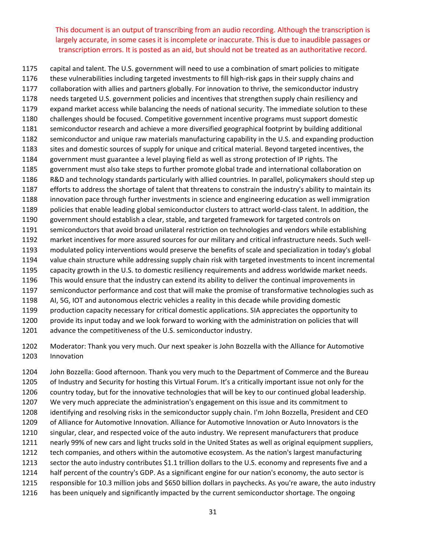capital and talent. The U.S. government will need to use a combination of smart policies to mitigate these vulnerabilities including targeted investments to fill high‐risk gaps in their supply chains and collaboration with allies and partners globally. For innovation to thrive, the semiconductor industry needs targeted U.S. government policies and incentives that strengthen supply chain resiliency and expand market access while balancing the needs of national security. The immediate solution to these challenges should be focused. Competitive government incentive programs must support domestic semiconductor research and achieve a more diversified geographical footprint by building additional semiconductor and unique raw materials manufacturing capability in the U.S. and expanding production sites and domestic sources of supply for unique and critical material. Beyond targeted incentives, the government must guarantee a level playing field as well as strong protection of IP rights. The government must also take steps to further promote global trade and international collaboration on R&D and technology standards particularly with allied countries. In parallel, policymakers should step up efforts to address the shortage of talent that threatens to constrain the industry's ability to maintain its innovation pace through further investments in science and engineering education as well immigration policies that enable leading global semiconductor clusters to attract world‐class talent. In addition, the government should establish a clear, stable, and targeted framework for targeted controls on semiconductors that avoid broad unilateral restriction on technologies and vendors while establishing 1192 market incentives for more assured sources for our military and critical infrastructure needs. Such well- modulated policy interventions would preserve the benefits of scale and specialization in today's global value chain structure while addressing supply chain risk with targeted investments to incent incremental capacity growth in the U.S. to domestic resiliency requirements and address worldwide market needs. This would ensure that the industry can extend its ability to deliver the continual improvements in semiconductor performance and cost that will make the promise of transformative technologies such as AI, 5G, IOT and autonomous electric vehicles a reality in this decade while providing domestic production capacity necessary for critical domestic applications. SIA appreciates the opportunity to provide its input today and we look forward to working with the administration on policies that will 1201 advance the competitiveness of the U.S. semiconductor industry.

 Moderator: Thank you very much. Our next speaker is John Bozzella with the Alliance for Automotive Innovation

 John Bozzella: Good afternoon. Thank you very much to the Department of Commerce and the Bureau of Industry and Security for hosting this Virtual Forum. It's a critically important issue not only for the country today, but for the innovative technologies that will be key to our continued global leadership. We very much appreciate the administration's engagement on this issue and its commitment to identifying and resolving risks in the semiconductor supply chain. I'm John Bozzella, President and CEO of Alliance for Automotive Innovation. Alliance for Automotive Innovation or Auto Innovators is the singular, clear, and respected voice of the auto industry. We represent manufacturers that produce nearly 99% of new cars and light trucks sold in the United States as well as original equipment suppliers, tech companies, and others within the automotive ecosystem. As the nation's largest manufacturing sector the auto industry contributes \$1.1 trillion dollars to the U.S. economy and represents five and a half percent of the country's GDP. As a significant engine for our nation's economy, the auto sector is responsible for 10.3 million jobs and \$650 billion dollars in paychecks. As you're aware, the auto industry has been uniquely and significantly impacted by the current semiconductor shortage. The ongoing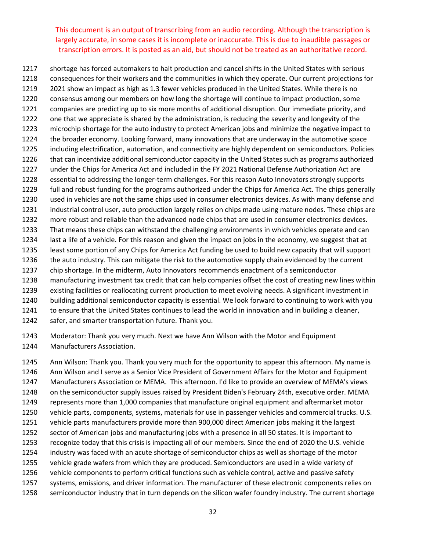shortage has forced automakers to halt production and cancel shifts in the United States with serious consequences for their workers and the communities in which they operate. Our current projections for 2021 show an impact as high as 1.3 fewer vehicles produced in the United States. While there is no consensus among our members on how long the shortage will continue to impact production, some companies are predicting up to six more months of additional disruption. Our immediate priority, and one that we appreciate is shared by the administration, is reducing the severity and longevity of the microchip shortage for the auto industry to protect American jobs and minimize the negative impact to the broader economy. Looking forward, many innovations that are underway in the automotive space including electrification, automation, and connectivity are highly dependent on semiconductors. Policies that can incentivize additional semiconductor capacity in the United States such as programs authorized under the Chips for America Act and included in the FY 2021 National Defense Authorization Act are 1228 essential to addressing the longer-term challenges. For this reason Auto Innovators strongly supports full and robust funding for the programs authorized under the Chips for America Act. The chips generally used in vehicles are not the same chips used in consumer electronics devices. As with many defense and industrial control user, auto production largely relies on chips made using mature nodes. These chips are more robust and reliable than the advanced node chips that are used in consumer electronics devices. That means these chips can withstand the challenging environments in which vehicles operate and can last a life of a vehicle. For this reason and given the impact on jobs in the economy, we suggest that at least some portion of any Chips for America Act funding be used to build new capacity that will support the auto industry. This can mitigate the risk to the automotive supply chain evidenced by the current chip shortage. In the midterm, Auto Innovators recommends enactment of a semiconductor manufacturing investment tax credit that can help companies offset the cost of creating new lines within existing facilities or reallocating current production to meet evolving needs. A significant investment in building additional semiconductor capacity is essential. We look forward to continuing to work with you to ensure that the United States continues to lead the world in innovation and in building a cleaner, safer, and smarter transportation future. Thank you.

 Moderator: Thank you very much. Next we have Ann Wilson with the Motor and Equipment Manufacturers Association.

 Ann Wilson: Thank you. Thank you very much for the opportunity to appear this afternoon. My name is Ann Wilson and I serve as a Senior Vice President of Government Affairs for the Motor and Equipment Manufacturers Association or MEMA. This afternoon. I'd like to provide an overview of MEMA's views on the semiconductor supply issues raised by President Biden's February 24th, executive order. MEMA represents more than 1,000 companies that manufacture original equipment and aftermarket motor vehicle parts, components, systems, materials for use in passenger vehicles and commercial trucks. U.S. vehicle parts manufacturers provide more than 900,000 direct American jobs making it the largest sector of American jobs and manufacturing jobs with a presence in all 50 states. It is important to recognize today that this crisis is impacting all of our members. Since the end of 2020 the U.S. vehicle industry was faced with an acute shortage of semiconductor chips as well as shortage of the motor vehicle grade wafers from which they are produced. Semiconductors are used in a wide variety of vehicle components to perform critical functions such as vehicle control, active and passive safety systems, emissions, and driver information. The manufacturer of these electronic components relies on semiconductor industry that in turn depends on the silicon wafer foundry industry. The current shortage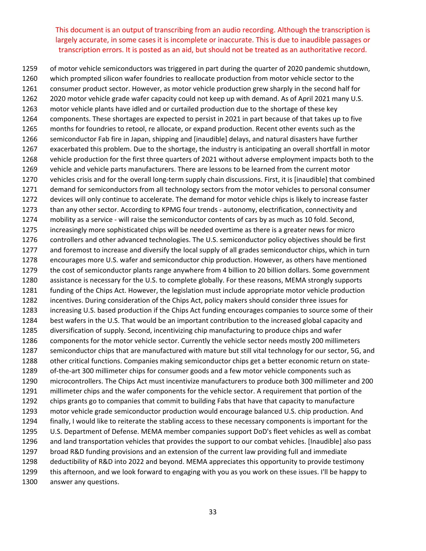of motor vehicle semiconductors was triggered in part during the quarter of 2020 pandemic shutdown, which prompted silicon wafer foundries to reallocate production from motor vehicle sector to the consumer product sector. However, as motor vehicle production grew sharply in the second half for 2020 motor vehicle grade wafer capacity could not keep up with demand. As of April 2021 many U.S. motor vehicle plants have idled and or curtailed production due to the shortage of these key components. These shortages are expected to persist in 2021 in part because of that takes up to five months for foundries to retool, re allocate, or expand production. Recent other events such as the semiconductor Fab fire in Japan, shipping and [inaudible] delays, and natural disasters have further exacerbated this problem. Due to the shortage, the industry is anticipating an overall shortfall in motor vehicle production for the first three quarters of 2021 without adverse employment impacts both to the vehicle and vehicle parts manufacturers. There are lessons to be learned from the current motor 1270 vehicles crisis and for the overall long-term supply chain discussions. First, it is [inaudible] that combined demand for semiconductors from all technology sectors from the motor vehicles to personal consumer devices will only continue to accelerate. The demand for motor vehicle chips is likely to increase faster than any other sector. According to KPMG four trends ‐ autonomy, electrification, connectivity and 1274 mobility as a service - will raise the semiconductor contents of cars by as much as 10 fold. Second, increasingly more sophisticated chips will be needed overtime as there is a greater news for micro controllers and other advanced technologies. The U.S. semiconductor policy objectives should be first and foremost to increase and diversify the local supply of all grades semiconductor chips, which in turn encourages more U.S. wafer and semiconductor chip production. However, as others have mentioned the cost of semiconductor plants range anywhere from 4 billion to 20 billion dollars. Some government assistance is necessary for the U.S. to complete globally. For these reasons, MEMA strongly supports funding of the Chips Act. However, the legislation must include appropriate motor vehicle production incentives. During consideration of the Chips Act, policy makers should consider three issues for increasing U.S. based production if the Chips Act funding encourages companies to source some of their best wafers in the U.S. That would be an important contribution to the increased global capacity and diversification of supply. Second, incentivizing chip manufacturing to produce chips and wafer components for the motor vehicle sector. Currently the vehicle sector needs mostly 200 millimeters semiconductor chips that are manufactured with mature but still vital technology for our sector, 5G, and 1288 other critical functions. Companies making semiconductor chips get a better economic return on state-1289 of-the-art 300 millimeter chips for consumer goods and a few motor vehicle components such as microcontrollers. The Chips Act must incentivize manufacturers to produce both 300 millimeter and 200 millimeter chips and the wafer components for the vehicle sector. A requirement that portion of the chips grants go to companies that commit to building Fabs that have that capacity to manufacture motor vehicle grade semiconductor production would encourage balanced U.S. chip production. And finally, I would like to reiterate the stabling access to these necessary components is important for the U.S. Department of Defense. MEMA member companies support DoD's fleet vehicles as well as combat and land transportation vehicles that provides the support to our combat vehicles. [Inaudible] also pass broad R&D funding provisions and an extension of the current law providing full and immediate deductibility of R&D into 2022 and beyond. MEMA appreciates this opportunity to provide testimony this afternoon, and we look forward to engaging with you as you work on these issues. I'll be happy to answer any questions.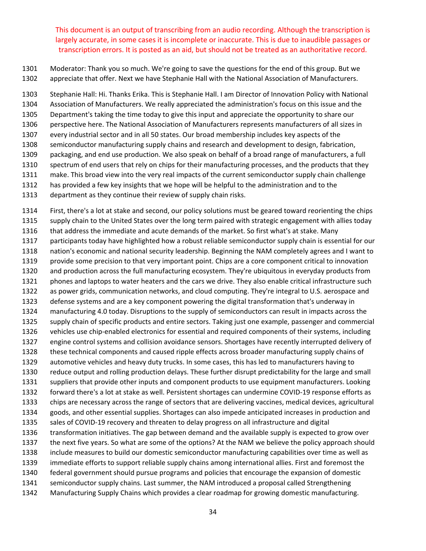Moderator: Thank you so much. We're going to save the questions for the end of this group. But we appreciate that offer. Next we have Stephanie Hall with the National Association of Manufacturers.

 Stephanie Hall: Hi. Thanks Erika. This is Stephanie Hall. I am Director of Innovation Policy with National Association of Manufacturers. We really appreciated the administration's focus on this issue and the Department's taking the time today to give this input and appreciate the opportunity to share our perspective here. The National Association of Manufacturers represents manufacturers of all sizes in every industrial sector and in all 50 states. Our broad membership includes key aspects of the semiconductor manufacturing supply chains and research and development to design, fabrication, packaging, and end use production. We also speak on behalf of a broad range of manufacturers, a full spectrum of end users that rely on chips for their manufacturing processes, and the products that they make. This broad view into the very real impacts of the current semiconductor supply chain challenge has provided a few key insights that we hope will be helpful to the administration and to the

department as they continue their review of supply chain risks.

 First, there's a lot at stake and second, our policy solutions must be geared toward reorienting the chips supply chain to the United States over the long term paired with strategic engagement with allies today that address the immediate and acute demands of the market. So first what's at stake. Many participants today have highlighted how a robust reliable semiconductor supply chain is essential for our nation's economic and national security leadership. Beginning the NAM completely agrees and I want to provide some precision to that very important point. Chips are a core component critical to innovation and production across the full manufacturing ecosystem. They're ubiquitous in everyday products from phones and laptops to water heaters and the cars we drive. They also enable critical infrastructure such as power grids, communication networks, and cloud computing. They're integral to U.S. aerospace and defense systems and are a key component powering the digital transformation that's underway in manufacturing 4.0 today. Disruptions to the supply of semiconductors can result in impacts across the supply chain of specific products and entire sectors. Taking just one example, passenger and commercial 1326 vehicles use chip-enabled electronics for essential and required components of their systems, including engine control systems and collision avoidance sensors. Shortages have recently interrupted delivery of these technical components and caused ripple effects across broader manufacturing supply chains of automotive vehicles and heavy duty trucks. In some cases, this has led to manufacturers having to reduce output and rolling production delays. These further disrupt predictability for the large and small suppliers that provide other inputs and component products to use equipment manufacturers. Looking forward there's a lot at stake as well. Persistent shortages can undermine COVID‐19 response efforts as chips are necessary across the range of sectors that are delivering vaccines, medical devices, agricultural goods, and other essential supplies. Shortages can also impede anticipated increases in production and sales of COVID‐19 recovery and threaten to delay progress on all infrastructure and digital transformation initiatives. The gap between demand and the available supply is expected to grow over the next five years. So what are some of the options? At the NAM we believe the policy approach should include measures to build our domestic semiconductor manufacturing capabilities over time as well as immediate efforts to support reliable supply chains among international allies. First and foremost the federal government should pursue programs and policies that encourage the expansion of domestic semiconductor supply chains. Last summer, the NAM introduced a proposal called Strengthening Manufacturing Supply Chains which provides a clear roadmap for growing domestic manufacturing.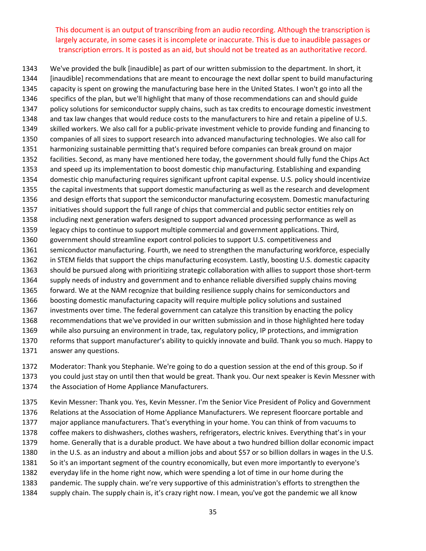We've provided the bulk [inaudible] as part of our written submission to the department. In short, it [inaudible] recommendations that are meant to encourage the next dollar spent to build manufacturing capacity is spent on growing the manufacturing base here in the United States. I won't go into all the specifics of the plan, but we'll highlight that many of those recommendations can and should guide policy solutions for semiconductor supply chains, such as tax credits to encourage domestic investment and tax law changes that would reduce costs to the manufacturers to hire and retain a pipeline of U.S. skilled workers. We also call for a public‐private investment vehicle to provide funding and financing to companies of all sizes to support research into advanced manufacturing technologies. We also call for harmonizing sustainable permitting that's required before companies can break ground on major facilities. Second, as many have mentioned here today, the government should fully fund the Chips Act and speed up its implementation to boost domestic chip manufacturing. Establishing and expanding domestic chip manufacturing requires significant upfront capital expense. U.S. policy should incentivize the capital investments that support domestic manufacturing as well as the research and development and design efforts that support the semiconductor manufacturing ecosystem. Domestic manufacturing initiatives should support the full range of chips that commercial and public sector entities rely on including next generation wafers designed to support advanced processing performance as well as legacy chips to continue to support multiple commercial and government applications. Third, government should streamline export control policies to support U.S. competitiveness and semiconductor manufacturing. Fourth, we need to strengthen the manufacturing workforce, especially in STEM fields that support the chips manufacturing ecosystem. Lastly, boosting U.S. domestic capacity 1363 should be pursued along with prioritizing strategic collaboration with allies to support those short-term supply needs of industry and government and to enhance reliable diversified supply chains moving forward. We at the NAM recognize that building resilience supply chains for semiconductors and boosting domestic manufacturing capacity will require multiple policy solutions and sustained investments over time. The federal government can catalyze this transition by enacting the policy recommendations that we've provided in our written submission and in those highlighted here today while also pursuing an environment in trade, tax, regulatory policy, IP protections, and immigration reforms that support manufacturer's ability to quickly innovate and build. Thank you so much. Happy to answer any questions.

 Moderator: Thank you Stephanie. We're going to do a question session at the end of this group. So if you could just stay on until then that would be great. Thank you. Our next speaker is Kevin Messner with

the Association of Home Appliance Manufacturers.

 Kevin Messner: Thank you. Yes, Kevin Messner. I'm the Senior Vice President of Policy and Government Relations at the Association of Home Appliance Manufacturers. We represent floorcare portable and major appliance manufacturers. That's everything in your home. You can think of from vacuums to coffee makers to dishwashers, clothes washers, refrigerators, electric knives. Everything that's in your home. Generally that is a durable product. We have about a two hundred billion dollar economic impact in the U.S. as an industry and about a million jobs and about \$57 or so billion dollars in wages in the U.S. So it's an important segment of the country economically, but even more importantly to everyone's everyday life in the home right now, which were spending a lot of time in our home during the pandemic. The supply chain. we're very supportive of this administration's efforts to strengthen the supply chain. The supply chain is, it's crazy right now. I mean, you've got the pandemic we all know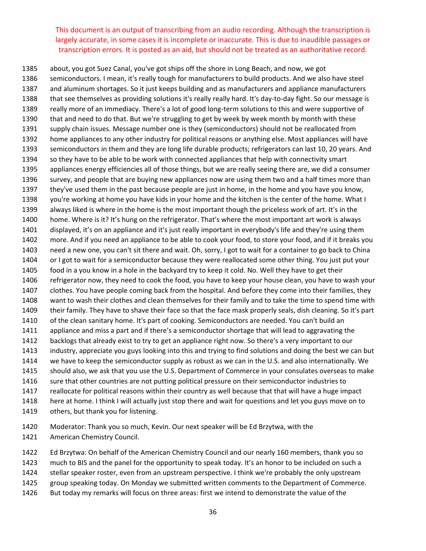about, you got Suez Canal, you've got ships off the shore in Long Beach, and now, we got semiconductors. I mean, it's really tough for manufacturers to build products. And we also have steel and aluminum shortages. So it just keeps building and as manufacturers and appliance manufacturers 1388 that see themselves as providing solutions it's really really hard. It's day-to-day fight. So our message is 1389 really more of an immediacy. There's a lot of good long-term solutions to this and were supportive of that and need to do that. But we're struggling to get by week by week month by month with these supply chain issues. Message number one is they (semiconductors) should not be reallocated from home appliances to any other industry for political reasons or anything else. Most appliances will have semiconductors in them and they are long life durable products; refrigerators can last 10, 20 years. And so they have to be able to be work with connected appliances that help with connectivity smart appliances energy efficiencies all of those things, but we are really seeing there are, we did a consumer survey, and people that are buying new appliances now are using them two and a half times more than they've used them in the past because people are just in home, in the home and you have you know, you're working at home you have kids in your home and the kitchen is the center of the home. What I always liked is where in the home is the most important though the priceless work of art. It's in the home. Where is it? It's hung on the refrigerator. That's where the most important art work is always displayed, it's on an appliance and it's just really important in everybody's life and they're using them more. And if you need an appliance to be able to cook your food, to store your food, and if it breaks you need a new one, you can't sit there and wait. Oh, sorry, I got to wait for a container to go back to China or I got to wait for a semiconductor because they were reallocated some other thing. You just put your food in a you know in a hole in the backyard try to keep it cold. No. Well they have to get their refrigerator now, they need to cook the food, you have to keep your house clean, you have to wash your clothes. You have people coming back from the hospital. And before they come into their families, they want to wash their clothes and clean themselves for their family and to take the time to spend time with their family. They have to shave their face so that the face mask properly seals, dish cleaning. So it's part of the clean sanitary home. It's part of cooking. Semiconductors are needed. You can't build an appliance and miss a part and if there's a semiconductor shortage that will lead to aggravating the backlogs that already exist to try to get an appliance right now. So there's a very important to our industry, appreciate you guys looking into this and trying to find solutions and doing the best we can but we have to keep the semiconductor supply as robust as we can in the U.S. and also internationally. We should also, we ask that you use the U.S. Department of Commerce in your consulates overseas to make sure that other countries are not putting political pressure on their semiconductor industries to reallocate for political reasons within their country as well because that that will have a huge impact here at home. I think I will actually just stop there and wait for questions and let you guys move on to 1419 others, but thank you for listening.

 Moderator: Thank you so much, Kevin. Our next speaker will be Ed Brzytwa, with the American Chemistry Council.

 Ed Brzytwa: On behalf of the American Chemistry Council and our nearly 160 members, thank you so much to BIS and the panel for the opportunity to speak today. It's an honor to be included on such a stellar speaker roster, even from an upstream perspective. I think we're probably the only upstream group speaking today. On Monday we submitted written comments to the Department of Commerce. But today my remarks will focus on three areas: first we intend to demonstrate the value of the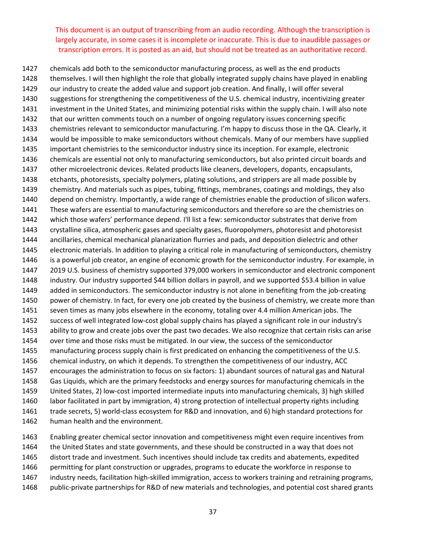chemicals add both to the semiconductor manufacturing process, as well as the end products themselves. I will then highlight the role that globally integrated supply chains have played in enabling our industry to create the added value and support job creation. And finally, I will offer several suggestions for strengthening the competitiveness of the U.S. chemical industry, incentivizing greater investment in the United States, and minimizing potential risks within the supply chain. I will also note that our written comments touch on a number of ongoing regulatory issues concerning specific chemistries relevant to semiconductor manufacturing. I'm happy to discuss those in the QA. Clearly, it would be impossible to make semiconductors without chemicals. Many of our members have supplied important chemistries to the semiconductor industry since its inception. For example, electronic chemicals are essential not only to manufacturing semiconductors, but also printed circuit boards and other microelectronic devices. Related products like cleaners, developers, dopants, encapsulants, etchants, photoresists, specialty polymers, plating solutions, and strippers are all made possible by chemistry. And materials such as pipes, tubing, fittings, membranes, coatings and moldings, they also depend on chemistry. Importantly, a wide range of chemistries enable the production of silicon wafers. These wafers are essential to manufacturing semiconductors and therefore so are the chemistries on which those wafers' performance depend. I'll list a few: semiconductor substrates that derive from crystalline silica, atmospheric gases and specialty gases, fluoropolymers, photoresist and photoresist ancillaries, chemical mechanical planarization flurries and pads, and deposition dielectric and other electronic materials. In addition to playing a critical role in manufacturing of semiconductors, chemistry is a powerful job creator, an engine of economic growth for the semiconductor industry. For example, in 2019 U.S. business of chemistry supported 379,000 workers in semiconductor and electronic component industry. Our industry supported \$44 billion dollars in payroll, and we supported \$53.4 billion in value 1449 added in semiconductors. The semiconductor industry is not alone in benefiting from the job-creating power of chemistry. In fact, for every one job created by the business of chemistry, we create more than seven times as many jobs elsewhere in the economy, totaling over 4.4 million American jobs. The success of well integrated low‐cost global supply chains has played a significant role in our industry's ability to grow and create jobs over the past two decades. We also recognize that certain risks can arise over time and those risks must be mitigated. In our view, the success of the semiconductor manufacturing process supply chain is first predicated on enhancing the competitiveness of the U.S. chemical industry, on which it depends. To strengthen the competitiveness of our industry, ACC encourages the administration to focus on six factors: 1) abundant sources of natural gas and Natural Gas Liquids, which are the primary feedstocks and energy sources for manufacturing chemicals in the United States, 2) low‐cost imported intermediate inputs into manufacturing chemicals, 3) high skilled labor facilitated in part by immigration, 4) strong protection of intellectual property rights including trade secrets, 5) world‐class ecosystem for R&D and innovation, and 6) high standard protections for human health and the environment.

 Enabling greater chemical sector innovation and competitiveness might even require incentives from the United States and state governments, and these should be constructed in a way that does not distort trade and investment. Such incentives should include tax credits and abatements, expedited permitting for plant construction or upgrades, programs to educate the workforce in response to industry needs, facilitation high‐skilled immigration, access to workers training and retraining programs, public‐private partnerships for R&D of new materials and technologies, and potential cost shared grants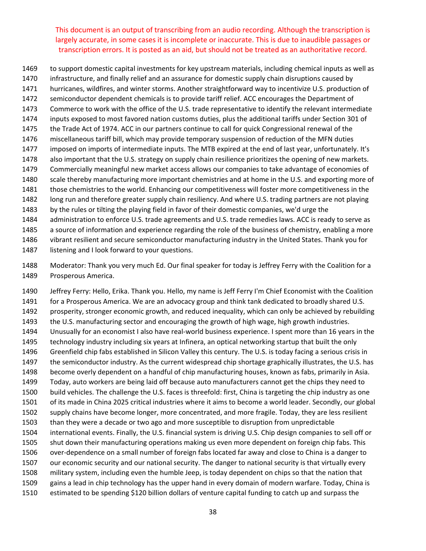to support domestic capital investments for key upstream materials, including chemical inputs as well as infrastructure, and finally relief and an assurance for domestic supply chain disruptions caused by hurricanes, wildfires, and winter storms. Another straightforward way to incentivize U.S. production of semiconductor dependent chemicals is to provide tariff relief. ACC encourages the Department of Commerce to work with the office of the U.S. trade representative to identify the relevant intermediate inputs exposed to most favored nation customs duties, plus the additional tariffs under Section 301 of the Trade Act of 1974. ACC in our partners continue to call for quick Congressional renewal of the miscellaneous tariff bill, which may provide temporary suspension of reduction of the MFN duties imposed on imports of intermediate inputs. The MTB expired at the end of last year, unfortunately. It's also important that the U.S. strategy on supply chain resilience prioritizes the opening of new markets. Commercially meaningful new market access allows our companies to take advantage of economies of scale thereby manufacturing more important chemistries and at home in the U.S. and exporting more of those chemistries to the world. Enhancing our competitiveness will foster more competitiveness in the long run and therefore greater supply chain resiliency. And where U.S. trading partners are not playing by the rules or tilting the playing field in favor of their domestic companies, we'd urge the administration to enforce U.S. trade agreements and U.S. trade remedies laws. ACC is ready to serve as a source of information and experience regarding the role of the business of chemistry, enabling a more vibrant resilient and secure semiconductor manufacturing industry in the United States. Thank you for

listening and I look forward to your questions.

 Moderator: Thank you very much Ed. Our final speaker for today is Jeffrey Ferry with the Coalition for a Prosperous America.

 Jeffrey Ferry: Hello, Erika. Thank you. Hello, my name is Jeff Ferry I'm Chief Economist with the Coalition for a Prosperous America. We are an advocacy group and think tank dedicated to broadly shared U.S. prosperity, stronger economic growth, and reduced inequality, which can only be achieved by rebuilding the U.S. manufacturing sector and encouraging the growth of high wage, high growth industries. Unusually for an economist I also have real‐world business experience. I spent more than 16 years in the technology industry including six years at Infinera, an optical networking startup that built the only Greenfield chip fabs established in Silicon Valley this century. The U.S. is today facing a serious crisis in the semiconductor industry. As the current widespread chip shortage graphically illustrates, the U.S. has become overly dependent on a handful of chip manufacturing houses, known as fabs, primarily in Asia. Today, auto workers are being laid off because auto manufacturers cannot get the chips they need to build vehicles. The challenge the U.S. faces is threefold: first, China is targeting the chip industry as one of its made in China 2025 critical industries where it aims to become a world leader. Secondly, our global supply chains have become longer, more concentrated, and more fragile. Today, they are less resilient than they were a decade or two ago and more susceptible to disruption from unpredictable international events. Finally, the U.S. financial system is driving U.S. Chip design companies to sell off or shut down their manufacturing operations making us even more dependent on foreign chip fabs. This 1506 over-dependence on a small number of foreign fabs located far away and close to China is a danger to our economic security and our national security. The danger to national security is that virtually every military system, including even the humble Jeep, is today dependent on chips so that the nation that gains a lead in chip technology has the upper hand in every domain of modern warfare. Today, China is estimated to be spending \$120 billion dollars of venture capital funding to catch up and surpass the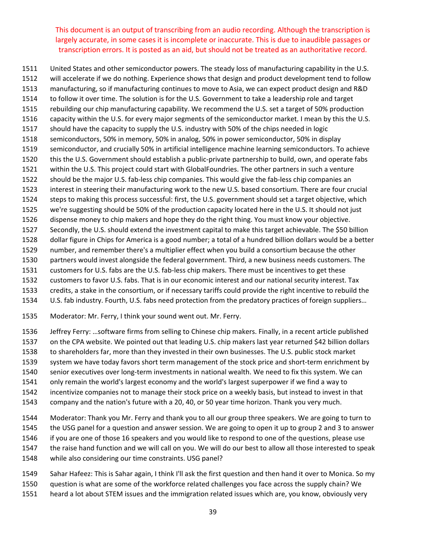United States and other semiconductor powers. The steady loss of manufacturing capability in the U.S. will accelerate if we do nothing. Experience shows that design and product development tend to follow manufacturing, so if manufacturing continues to move to Asia, we can expect product design and R&D to follow it over time. The solution is for the U.S. Government to take a leadership role and target rebuilding our chip manufacturing capability. We recommend the U.S. set a target of 50% production capacity within the U.S. for every major segments of the semiconductor market. I mean by this the U.S. should have the capacity to supply the U.S. industry with 50% of the chips needed in logic semiconductors, 50% in memory, 50% in analog, 50% in power semiconductor, 50% in display semiconductor, and crucially 50% in artificial intelligence machine learning semiconductors. To achieve this the U.S. Government should establish a public‐private partnership to build, own, and operate fabs within the U.S. This project could start with GlobalFoundries. The other partners in such a venture 1522 should be the major U.S. fab-less chip companies. This would give the fab-less chip companies an interest in steering their manufacturing work to the new U.S. based consortium. There are four crucial steps to making this process successful: first, the U.S. government should set a target objective, which we're suggesting should be 50% of the production capacity located here in the U.S. It should not just dispense money to chip makers and hope they do the right thing. You must know your objective. Secondly, the U.S. should extend the investment capital to make this target achievable. The \$50 billion dollar figure in Chips for America is a good number; a total of a hundred billion dollars would be a better number, and remember there's a multiplier effect when you build a consortium because the other partners would invest alongside the federal government. Third, a new business needs customers. The 1531 customers for U.S. fabs are the U.S. fab-less chip makers. There must be incentives to get these customers to favor U.S. fabs. That is in our economic interest and our national security interest. Tax credits, a stake in the consortium, or if necessary tariffs could provide the right incentive to rebuild the U.S. fab industry. Fourth, U.S. fabs need protection from the predatory practices of foreign suppliers…

Moderator: Mr. Ferry, I think your sound went out. Mr. Ferry.

 Jeffrey Ferry: …software firms from selling to Chinese chip makers. Finally, in a recent article published on the CPA website. We pointed out that leading U.S. chip makers last year returned \$42 billion dollars to shareholders far, more than they invested in their own businesses. The U.S. public stock market system we have today favors short term management of the stock price and short‐term enrichment by

- 1540 senior executives over long-term investments in national wealth. We need to fix this system. We can
- only remain the world's largest economy and the world's largest superpower if we find a way to
- incentivize companies not to manage their stock price on a weekly basis, but instead to invest in that
- company and the nation's future with a 20, 40, or 50 year time horizon. Thank you very much.
- Moderator: Thank you Mr. Ferry and thank you to all our group three speakers. We are going to turn to the USG panel for a question and answer session. We are going to open it up to group 2 and 3 to answer if you are one of those 16 speakers and you would like to respond to one of the questions, please use the raise hand function and we will call on you. We will do our best to allow all those interested to speak while also considering our time constraints. USG panel?
- Sahar Hafeez: This is Sahar again, I think I'll ask the first question and then hand it over to Monica. So my question is what are some of the workforce related challenges you face across the supply chain? We heard a lot about STEM issues and the immigration related issues which are, you know, obviously very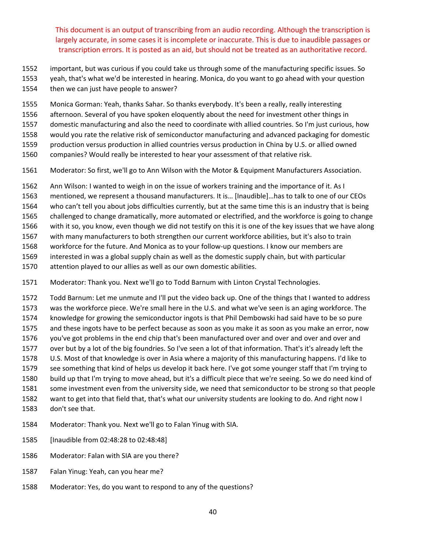- important, but was curious if you could take us through some of the manufacturing specific issues. So
- yeah, that's what we'd be interested in hearing. Monica, do you want to go ahead with your question
- then we can just have people to answer?
- Monica Gorman: Yeah, thanks Sahar. So thanks everybody. It's been a really, really interesting
- afternoon. Several of you have spoken eloquently about the need for investment other things in
- domestic manufacturing and also the need to coordinate with allied countries. So I'm just curious, how
- would you rate the relative risk of semiconductor manufacturing and advanced packaging for domestic
- production versus production in allied countries versus production in China by U.S. or allied owned
- companies? Would really be interested to hear your assessment of that relative risk.
- Moderator: So first, we'll go to Ann Wilson with the Motor & Equipment Manufacturers Association.
- Ann Wilson: I wanted to weigh in on the issue of workers training and the importance of it. As I
- mentioned, we represent a thousand manufacturers. It is… [Inaudible]…has to talk to one of our CEOs
- who can't tell you about jobs difficulties currently, but at the same time this is an industry that is being
- challenged to change dramatically, more automated or electrified, and the workforce is going to change
- with it so, you know, even though we did not testify on this it is one of the key issues that we have along
- with many manufacturers to both strengthen our current workforce abilities, but it's also to train
- workforce for the future. And Monica as to your follow‐up questions. I know our members are
- interested in was a global supply chain as well as the domestic supply chain, but with particular
- attention played to our allies as well as our own domestic abilities.
- Moderator: Thank you. Next we'll go to Todd Barnum with Linton Crystal Technologies.
- Todd Barnum: Let me unmute and I'll put the video back up. One of the things that I wanted to address was the workforce piece. We're small here in the U.S. and what we've seen is an aging workforce. The knowledge for growing the semiconductor ingots is that Phil Dembowski had said have to be so pure and these ingots have to be perfect because as soon as you make it as soon as you make an error, now you've got problems in the end chip that's been manufactured over and over and over and over and over but by a lot of the big foundries. So I've seen a lot of that information. That's it's already left the U.S. Most of that knowledge is over in Asia where a majority of this manufacturing happens. I'd like to see something that kind of helps us develop it back here. I've got some younger staff that I'm trying to build up that I'm trying to move ahead, but it's a difficult piece that we're seeing. So we do need kind of some investment even from the university side, we need that semiconductor to be strong so that people want to get into that field that, that's what our university students are looking to do. And right now I don't see that.
- Moderator: Thank you. Next we'll go to Falan Yinug with SIA.
- [Inaudible from 02:48:28 to 02:48:48]
- Moderator: Falan with SIA are you there?
- Falan Yinug: Yeah, can you hear me?
- Moderator: Yes, do you want to respond to any of the questions?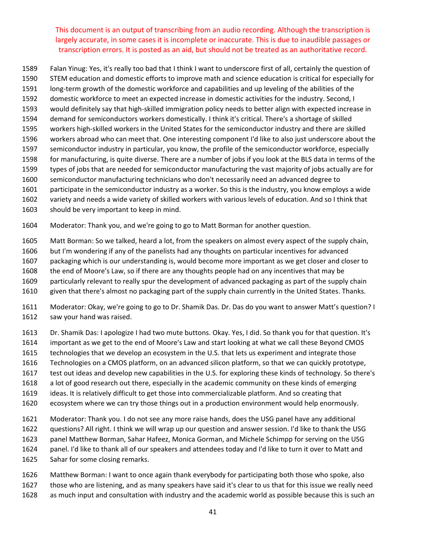Falan Yinug: Yes, it's really too bad that I think I want to underscore first of all, certainly the question of STEM education and domestic efforts to improve math and science education is critical for especially for

- long‐term growth of the domestic workforce and capabilities and up leveling of the abilities of the
- domestic workforce to meet an expected increase in domestic activities for the industry. Second, I
- would definitely say that high‐skilled immigration policy needs to better align with expected increase in
- demand for semiconductors workers domestically. I think it's critical. There's a shortage of skilled
- workers high‐skilled workers in the United States for the semiconductor industry and there are skilled
- workers abroad who can meet that. One interesting component I'd like to also just underscore about the
- semiconductor industry in particular, you know, the profile of the semiconductor workforce, especially
- for manufacturing, is quite diverse. There are a number of jobs if you look at the BLS data in terms of the types of jobs that are needed for semiconductor manufacturing the vast majority of jobs actually are for
- semiconductor manufacturing technicians who don't necessarily need an advanced degree to
- participate in the semiconductor industry as a worker. So this is the industry, you know employs a wide
- variety and needs a wide variety of skilled workers with various levels of education. And so I think that
- should be very important to keep in mind.
- Moderator: Thank you, and we're going to go to Matt Borman for another question.
- Matt Borman: So we talked, heard a lot, from the speakers on almost every aspect of the supply chain,
- but I'm wondering if any of the panelists had any thoughts on particular incentives for advanced
- packaging which is our understanding is, would become more important as we get closer and closer to
- the end of Moore's Law, so if there are any thoughts people had on any incentives that may be
- particularly relevant to really spur the development of advanced packaging as part of the supply chain
- given that there's almost no packaging part of the supply chain currently in the United States. Thanks.
- Moderator: Okay, we're going to go to Dr. Shamik Das. Dr. Das do you want to answer Matt's question? I saw your hand was raised.
- Dr. Shamik Das: I apologize I had two mute buttons. Okay. Yes, I did. So thank you for that question. It's
- important as we get to the end of Moore's Law and start looking at what we call these Beyond CMOS
- technologies that we develop an ecosystem in the U.S. that lets us experiment and integrate those
- Technologies on a CMOS platform, on an advanced silicon platform, so that we can quickly prototype,
- test out ideas and develop new capabilities in the U.S. for exploring these kinds of technology. So there's
- a lot of good research out there, especially in the academic community on these kinds of emerging
- ideas. It is relatively difficult to get those into commercializable platform. And so creating that
- ecosystem where we can try those things out in a production environment would help enormously.
- Moderator: Thank you. I do not see any more raise hands, does the USG panel have any additional questions? All right. I think we will wrap up our question and answer session. I'd like to thank the USG panel Matthew Borman, Sahar Hafeez, Monica Gorman, and Michele Schimpp for serving on the USG panel. I'd like to thank all of our speakers and attendees today and I'd like to turn it over to Matt and Sahar for some closing remarks.
- Matthew Borman: I want to once again thank everybody for participating both those who spoke, also those who are listening, and as many speakers have said it's clear to us that for this issue we really need as much input and consultation with industry and the academic world as possible because this is such an